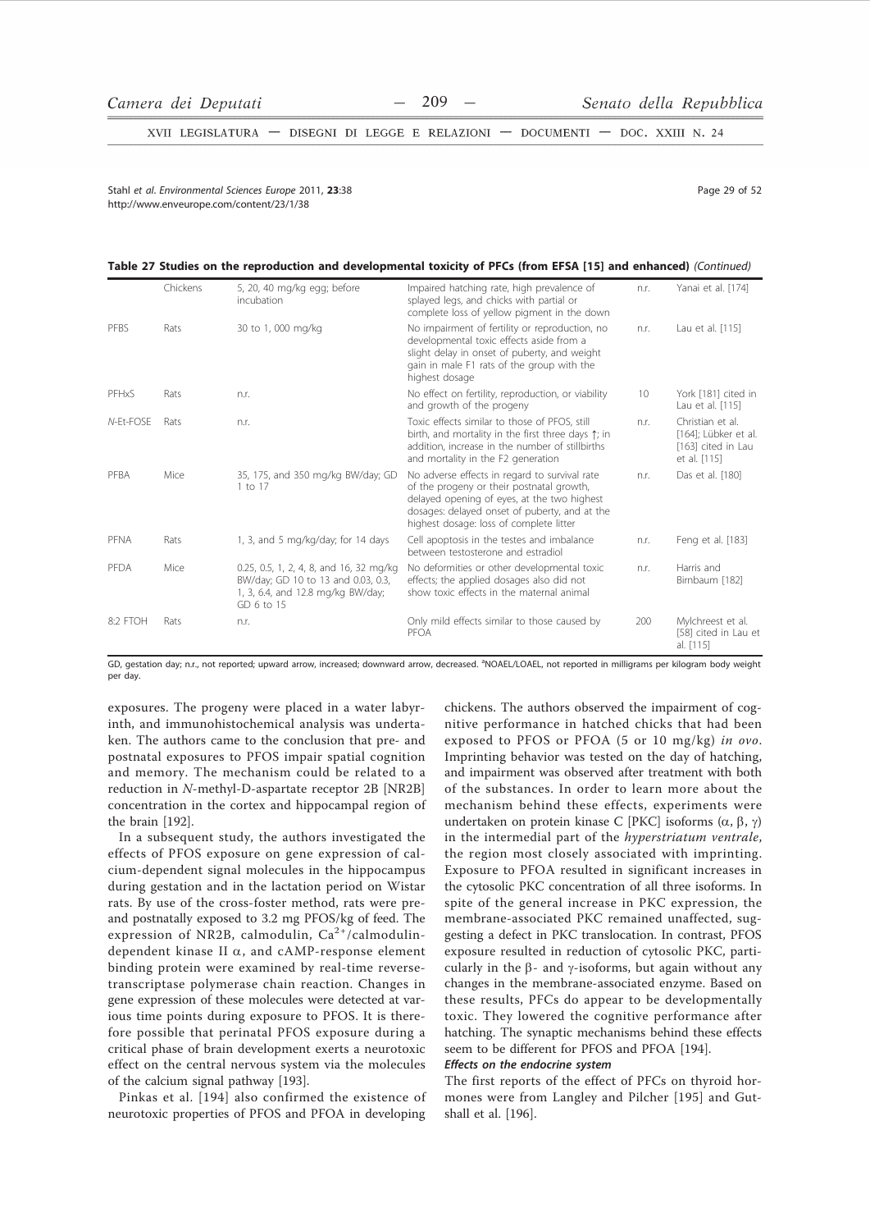XVII LEGISLATURA - DISEGNI DI LEGGE E RELAZIONI - DOCUMENTI - DOC. XXIII N. 24

Stahl et al Environmental Sciences Eurone 2011 23:38 http://www.enveurope.com/content/23/1/38

Page 29 of 52

#### Table 27 Studies on the reproduction and developmental toxicity of PFCs (from EFSA [15] and enhanced) (Continued)

|           | Chickens | 5, 20, 40 mg/kg egg; before<br>incubation                                                                                        | Impaired hatching rate, high prevalence of<br>splayed legs, and chicks with partial or<br>complete loss of yellow pigment in the down                                                                                                 | n.r. | Yanai et al. [174]                                                             |
|-----------|----------|----------------------------------------------------------------------------------------------------------------------------------|---------------------------------------------------------------------------------------------------------------------------------------------------------------------------------------------------------------------------------------|------|--------------------------------------------------------------------------------|
| PFBS      | Rats     | 30 to 1,000 mg/kg                                                                                                                | No impairment of fertility or reproduction, no<br>developmental toxic effects aside from a<br>slight delay in onset of puberty, and weight<br>gain in male F1 rats of the group with the<br>highest dosage                            | n.r. | Lau et al. [115]                                                               |
| PFHxS     | Rats     | n.r.                                                                                                                             | No effect on fertility, reproduction, or viability<br>and growth of the progeny                                                                                                                                                       | 10   | York [181] cited in<br>Lau et al. [115]                                        |
| N-Et-FOSE | Rats     | n.r.                                                                                                                             | Toxic effects similar to those of PFOS, still<br>birth, and mortality in the first three days $\uparrow$ ; in<br>addition, increase in the number of stillbirths<br>and mortality in the F2 generation                                | n.r. | Christian et al.<br>[164]; Lübker et al.<br>[163] cited in Lau<br>et al. [115] |
| PFBA      | Mice     | 35, 175, and 350 mg/kg BW/day; GD<br>1 to 17                                                                                     | No adverse effects in regard to survival rate<br>of the progeny or their postnatal growth,<br>delayed opening of eyes, at the two highest<br>dosages: delayed onset of puberty, and at the<br>highest dosage: loss of complete litter | n.r. | Das et al. [180]                                                               |
| PFNA      | Rats     | 1, 3, and 5 mg/kg/day; for 14 days                                                                                               | Cell apoptosis in the testes and imbalance<br>between testosterone and estradiol                                                                                                                                                      | n.r. | Feng et al. [183]                                                              |
| PFDA      | Mice     | 0.25, 0.5, 1, 2, 4, 8, and 16, 32 mg/kg<br>BW/day; GD 10 to 13 and 0.03, 0.3,<br>1, 3, 6.4, and 12.8 mg/kg BW/day;<br>GD 6 to 15 | No deformities or other developmental toxic<br>effects; the applied dosages also did not<br>show toxic effects in the maternal animal                                                                                                 | n.r. | Harris and<br>Birnbaum [182]                                                   |
| 8:2 FTOH  | Rats     | n.r.                                                                                                                             | Only mild effects similar to those caused by<br>PFOA                                                                                                                                                                                  | 200  | Mylchreest et al.<br>[58] cited in Lau et<br>al. [115]                         |

GD, gestation day; n.r., not reported; upward arrow, increased; downward arrow, decreased. <sup>a</sup>NOAEL/LOAEL, not reported in milligrams per kilogram body weight per day

exposures. The progeny were placed in a water labyrinth, and immunohistochemical analysis was undertaken. The authors came to the conclusion that pre- and postnatal exposures to PFOS impair spatial cognition and memory. The mechanism could be related to a reduction in N-methyl-D-aspartate receptor 2B [NR2B] concentration in the cortex and hippocampal region of the brain [192].

In a subsequent study, the authors investigated the effects of PFOS exposure on gene expression of calcium-dependent signal molecules in the hippocampus during gestation and in the lactation period on Wistar rats. By use of the cross-foster method, rats were preand postnatally exposed to 3.2 mg PFOS/kg of feed. The expression of NR2B, calmodulin, Ca<sup>2+</sup>/calmodulindependent kinase II  $\alpha$ , and cAMP-response element binding protein were examined by real-time reversetranscriptase polymerase chain reaction. Changes in gene expression of these molecules were detected at various time points during exposure to PFOS. It is therefore possible that perinatal PFOS exposure during a critical phase of brain development exerts a neurotoxic effect on the central nervous system via the molecules of the calcium signal pathway [193].

Pinkas et al. [194] also confirmed the existence of neurotoxic properties of PFOS and PFOA in developing

chickens. The authors observed the impairment of cognitive performance in hatched chicks that had been exposed to PFOS or PFOA (5 or 10 mg/kg) in ovo. Imprinting behavior was tested on the day of hatching, and impairment was observed after treatment with both of the substances. In order to learn more about the mechanism behind these effects, experiments were undertaken on protein kinase C [PKC] isoforms  $(\alpha, \beta, \gamma)$ in the intermedial part of the hyperstriatum ventrale, the region most closely associated with imprinting. Exposure to PFOA resulted in significant increases in the cytosolic PKC concentration of all three isoforms. In spite of the general increase in PKC expression, the membrane-associated PKC remained unaffected, suggesting a defect in PKC translocation. In contrast, PFOS exposure resulted in reduction of cytosolic PKC, particularly in the  $\beta$ - and  $\gamma$ -isoforms, but again without any changes in the membrane-associated enzyme. Based on these results, PFCs do appear to be developmentally toxic. They lowered the cognitive performance after hatching. The synaptic mechanisms behind these effects seem to be different for PFOS and PFOA [194].

# Effects on the endocrine system

The first reports of the effect of PFCs on thyroid hormones were from Langley and Pilcher [195] and Gutshall et al. [196].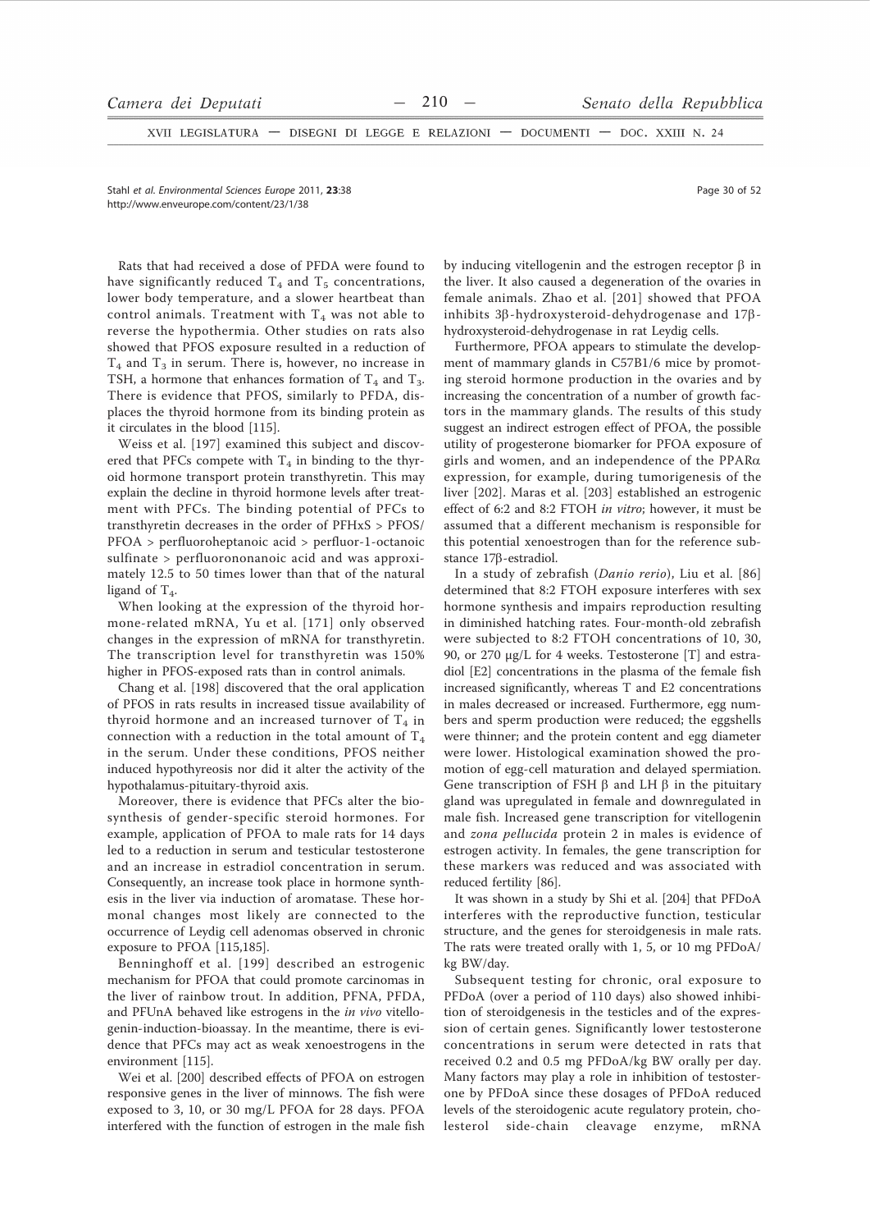XVII LEGISLATURA - DISEGNI DI LEGGE E RELAZIONI - DOCUMENTI - DOC. XXIII N. 24

Stahl et al. Environmental Sciences Europe 2011. 23:38 http://www.enveurope.com/content/23/1/38

Rats that had received a dose of PFDA were found to have significantly reduced  $T_4$  and  $T_5$  concentrations, lower body temperature, and a slower heartbeat than control animals. Treatment with  $T_4$  was not able to reverse the hypothermia. Other studies on rats also showed that PFOS exposure resulted in a reduction of  $T_4$  and  $T_3$  in serum. There is, however, no increase in TSH, a hormone that enhances formation of  $T_4$  and  $T_3$ . There is evidence that PFOS, similarly to PFDA, displaces the thyroid hormone from its binding protein as it circulates in the blood [115].

Weiss et al. [197] examined this subject and discovered that PFCs compete with  $T_4$  in binding to the thyroid hormone transport protein transthyretin. This may explain the decline in thyroid hormone levels after treatment with PFCs. The binding potential of PFCs to transthyretin decreases in the order of  $PFHxS > PFOS/$ PFOA > perfluoroheptanoic acid > perfluor-1-octanoic sulfinate > perfluorononanoic acid and was approximately 12.5 to 50 times lower than that of the natural ligand of  $T_4$ .

When looking at the expression of the thyroid hormone-related mRNA, Yu et al. [171] only observed changes in the expression of mRNA for transthyretin. The transcription level for transthyretin was 150% higher in PFOS-exposed rats than in control animals.

Chang et al. [198] discovered that the oral application of PFOS in rats results in increased tissue availability of thyroid hormone and an increased turnover of  $T_4$  in connection with a reduction in the total amount of  $T_4$ in the serum. Under these conditions, PFOS neither induced hypothyreosis nor did it alter the activity of the hypothalamus-pituitary-thyroid axis.

Moreover, there is evidence that PFCs alter the biosynthesis of gender-specific steroid hormones. For example, application of PFOA to male rats for 14 days led to a reduction in serum and testicular testosterone and an increase in estradiol concentration in serum. Consequently, an increase took place in hormone synthesis in the liver via induction of aromatase. These hormonal changes most likely are connected to the occurrence of Leydig cell adenomas observed in chronic exposure to PFOA [115,185].

Benninghoff et al. [199] described an estrogenic mechanism for PFOA that could promote carcinomas in the liver of rainbow trout. In addition, PFNA, PFDA, and PFUnA behaved like estrogens in the in vivo vitellogenin-induction-bioassay. In the meantime, there is evidence that PFCs may act as weak xenoestrogens in the environment [115].

Wei et al. [200] described effects of PFOA on estrogen responsive genes in the liver of minnows. The fish were exposed to 3, 10, or 30 mg/L PFOA for 28 days. PFOA interfered with the function of estrogen in the male fish by inducing vitellogenin and the estrogen receptor  $\beta$  in the liver. It also caused a degeneration of the ovaries in female animals. Zhao et al. [201] showed that PFOA inhibits  $3\beta$ -hydroxysteroid-dehydrogenase and  $17\beta$ hydroxysteroid-dehydrogenase in rat Leydig cells.

Furthermore, PFOA appears to stimulate the development of mammary glands in C57B1/6 mice by promoting steroid hormone production in the ovaries and by increasing the concentration of a number of growth factors in the mammary glands. The results of this study suggest an indirect estrogen effect of PFOA, the possible utility of progesterone biomarker for PFOA exposure of girls and women, and an independence of the PPAR $\alpha$ expression, for example, during tumorigenesis of the liver [202]. Maras et al. [203] established an estrogenic effect of 6:2 and 8:2 FTOH in vitro; however, it must be assumed that a different mechanism is responsible for this potential xenoestrogen than for the reference substance 17ß-estradiol.

In a study of zebrafish (Danio rerio), Liu et al. [86] determined that 8:2 FTOH exposure interferes with sex hormone synthesis and impairs reproduction resulting in diminished hatching rates. Four-month-old zebrafish were subjected to 8:2 FTOH concentrations of 10, 30, 90, or 270 μg/L for 4 weeks. Testosterone [T] and estradiol [E2] concentrations in the plasma of the female fish increased significantly, whereas T and E2 concentrations in males decreased or increased. Furthermore, egg numbers and sperm production were reduced; the eggshells were thinner; and the protein content and egg diameter were lower. Histological examination showed the promotion of egg-cell maturation and delayed spermiation. Gene transcription of FSH  $\beta$  and LH  $\beta$  in the pituitary gland was upregulated in female and downregulated in male fish. Increased gene transcription for vitellogenin and zona pellucida protein 2 in males is evidence of estrogen activity. In females, the gene transcription for these markers was reduced and was associated with reduced fertility [86].

It was shown in a study by Shi et al. [204] that PFDoA interferes with the reproductive function, testicular structure, and the genes for steroidgenesis in male rats. The rats were treated orally with 1, 5, or 10 mg PFDoA/ kg BW/day.

Subsequent testing for chronic, oral exposure to PFDoA (over a period of 110 days) also showed inhibition of steroidgenesis in the testicles and of the expression of certain genes. Significantly lower testosterone concentrations in serum were detected in rats that received 0.2 and 0.5 mg PFDoA/kg BW orally per day. Many factors may play a role in inhibition of testosterone by PFDoA since these dosages of PFDoA reduced levels of the steroidogenic acute regulatory protein, cholesterol side-chain cleavage enzyme, mRNA

Page 30 of 52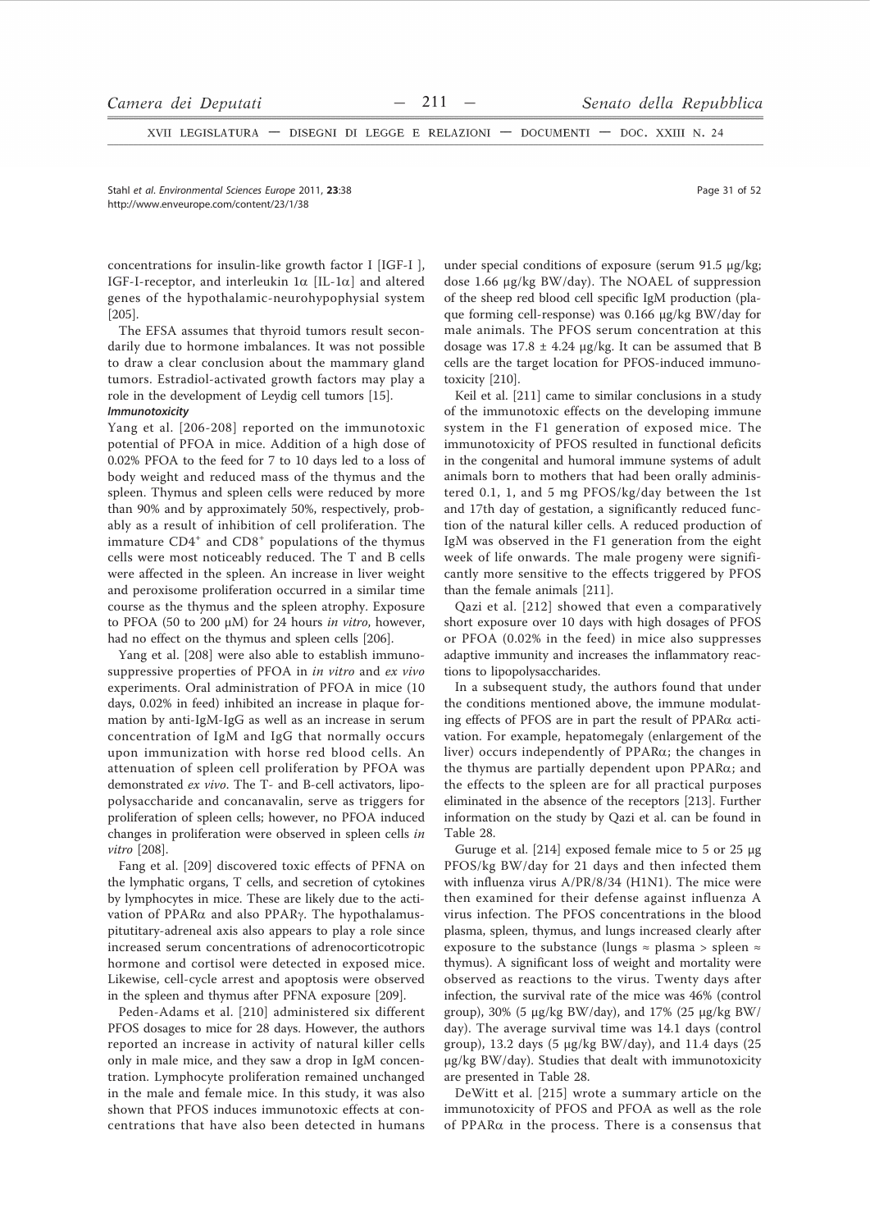XVII LEGISLATURA - DISEGNI DI LEGGE E RELAZIONI - DOCUMENTI - DOC. XXIII N. 24

Stahl et al. Environmental Sciences Europe 2011, 23:38 http://www.enveurope.com/content/23/1/38

concentrations for insulin-like growth factor I [IGF-I ], IGF-I-receptor, and interleukin  $1\alpha$  [IL-1 $\alpha$ ] and altered genes of the hypothalamic-neurohypophysial system  $[205]$ .

The EFSA assumes that thyroid tumors result secondarily due to hormone imbalances. It was not possible to draw a clear conclusion about the mammary gland tumors. Estradiol-activated growth factors may play a role in the development of Leydig cell tumors [15]. Immunotoxicity

Yang et al. [206-208] reported on the immunotoxic potential of PFOA in mice. Addition of a high dose of 0.02% PFOA to the feed for 7 to 10 days led to a loss of body weight and reduced mass of the thymus and the spleen. Thymus and spleen cells were reduced by more than 90% and by approximately 50%, respectively, probably as a result of inhibition of cell proliferation. The immature CD4<sup>+</sup> and CD8<sup>+</sup> populations of the thymus cells were most noticeably reduced. The T and B cells were affected in the spleen. An increase in liver weight and peroxisome proliferation occurred in a similar time course as the thymus and the spleen atrophy. Exposure to PFOA (50 to 200  $\mu$ M) for 24 hours in vitro, however, had no effect on the thymus and spleen cells [206].

Yang et al. [208] were also able to establish immunosuppressive properties of PFOA in in vitro and ex vivo experiments. Oral administration of PFOA in mice (10 days, 0.02% in feed) inhibited an increase in plaque formation by anti-IgM-IgG as well as an increase in serum concentration of IgM and IgG that normally occurs upon immunization with horse red blood cells. An attenuation of spleen cell proliferation by PFOA was demonstrated ex vivo. The T- and B-cell activators, lipopolysaccharide and concanavalin, serve as triggers for proliferation of spleen cells; however, no PFOA induced changes in proliferation were observed in spleen cells in vitro  $[208]$ .

Fang et al. [209] discovered toxic effects of PFNA on the lymphatic organs, T cells, and secretion of cytokines by lymphocytes in mice. These are likely due to the activation of PPARα and also PPARγ. The hypothalamuspitutitary-adreneal axis also appears to play a role since increased serum concentrations of adrenocorticotropic hormone and cortisol were detected in exposed mice. Likewise, cell-cycle arrest and apoptosis were observed in the spleen and thymus after PFNA exposure [209].

Peden-Adams et al. [210] administered six different PFOS dosages to mice for 28 days. However, the authors reported an increase in activity of natural killer cells only in male mice, and they saw a drop in IgM concentration. Lymphocyte proliferation remained unchanged in the male and female mice. In this study, it was also shown that PFOS induces immunotoxic effects at concentrations that have also been detected in humans

under special conditions of exposure (serum 91.5 µg/kg; dose 1.66  $\mu$ g/kg BW/day). The NOAEL of suppression of the sheep red blood cell specific IgM production (plaque forming cell-response) was 0.166 µg/kg BW/day for male animals. The PFOS serum concentration at this dosage was  $17.8 \pm 4.24$  µg/kg. It can be assumed that B cells are the target location for PFOS-induced immunotoxicity [210].

Keil et al. [211] came to similar conclusions in a study of the immunotoxic effects on the developing immune system in the F1 generation of exposed mice. The immunotoxicity of PFOS resulted in functional deficits in the congenital and humoral immune systems of adult animals born to mothers that had been orally administered 0.1, 1, and 5 mg PFOS/kg/day between the 1st and 17th day of gestation, a significantly reduced function of the natural killer cells. A reduced production of IgM was observed in the F1 generation from the eight week of life onwards. The male progeny were significantly more sensitive to the effects triggered by PFOS than the female animals [211].

Qazi et al. [212] showed that even a comparatively short exposure over 10 days with high dosages of PFOS or PFOA (0.02% in the feed) in mice also suppresses adaptive immunity and increases the inflammatory reactions to lipopolysaccharides.

In a subsequent study, the authors found that under the conditions mentioned above, the immune modulating effects of PFOS are in part the result of  $PPAR\alpha$  activation. For example, hepatomegaly (enlargement of the liver) occurs independently of  $PPAR\alpha$ ; the changes in the thymus are partially dependent upon  $PPAR\alpha$ ; and the effects to the spleen are for all practical purposes eliminated in the absence of the receptors [213]. Further information on the study by Qazi et al. can be found in Table 28.

Guruge et al. [214] exposed female mice to 5 or 25 µg PFOS/kg BW/day for 21 days and then infected them with influenza virus A/PR/8/34 (H1N1). The mice were then examined for their defense against influenza A virus infection. The PFOS concentrations in the blood plasma, spleen, thymus, and lungs increased clearly after exposure to the substance (lungs  $\approx$  plasma > spleen  $\approx$ thymus). A significant loss of weight and mortality were observed as reactions to the virus. Twenty days after infection, the survival rate of the mice was 46% (control group), 30% (5  $\mu$ g/kg BW/day), and 17% (25  $\mu$ g/kg BW/ day). The average survival time was 14.1 days (control group), 13.2 days (5 µg/kg BW/day), and 11.4 days (25 µg/kg BW/day). Studies that dealt with immunotoxicity are presented in Table 28.

DeWitt et al. [215] wrote a summary article on the immunotoxicity of PFOS and PFOA as well as the role of PPAR $\alpha$  in the process. There is a consensus that

Page 31 of 52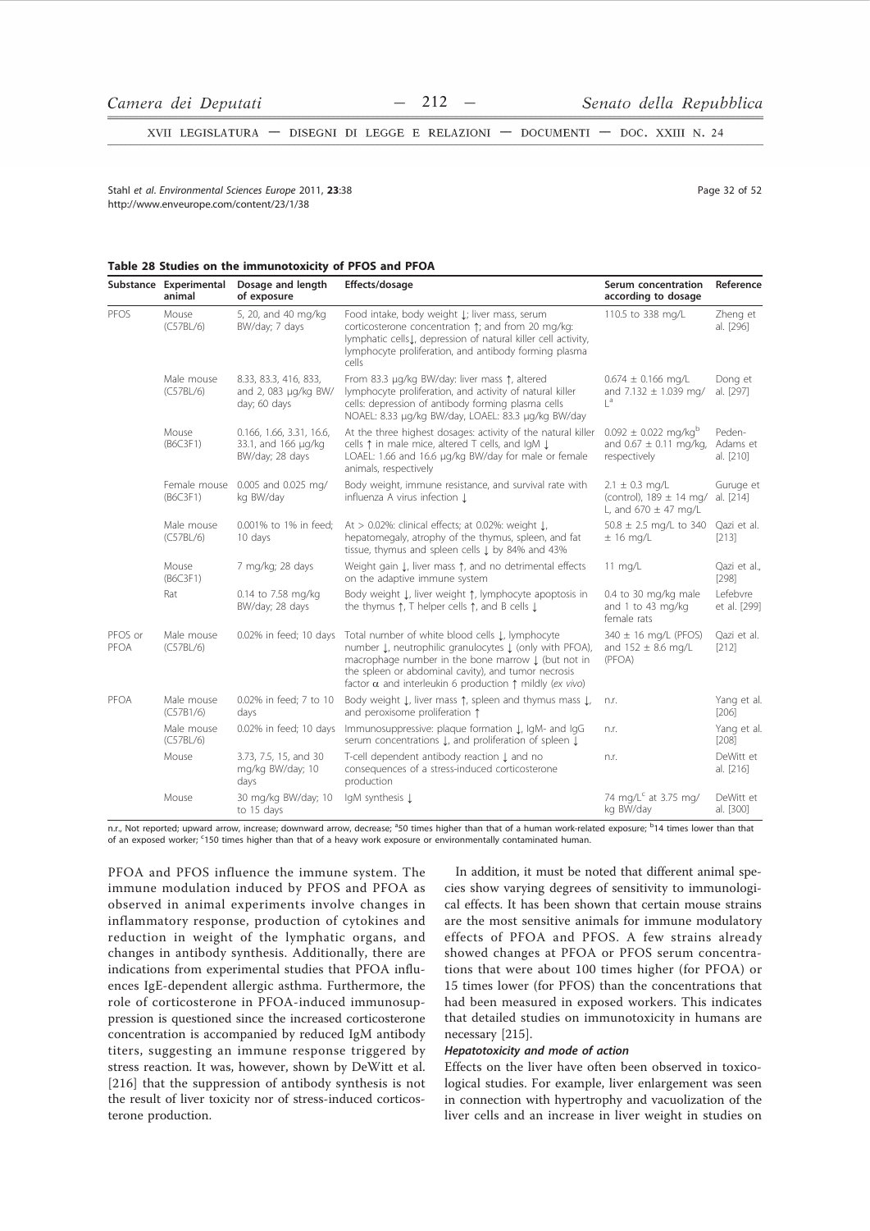XVII LEGISLATURA - DISEGNI DI LEGGE E RELAZIONI - DOCUMENTI - DOC. XXIII N. 24

Stabl et al Environmental Sciences Eurone 2011 23:38 http://www.enveurope.com/content/23/1/38

Page 32 of 52

# Table 28 Studies on the immunotoxicity of PFOS and PFOA

|                 | Substance Experimental<br>animal | Dosage and length<br>of exposure                                   | Effects/dosage                                                                                                                                                                                                                                                                                      | Serum concentration<br>according to dosage                                         | Reference                       |
|-----------------|----------------------------------|--------------------------------------------------------------------|-----------------------------------------------------------------------------------------------------------------------------------------------------------------------------------------------------------------------------------------------------------------------------------------------------|------------------------------------------------------------------------------------|---------------------------------|
| PFOS            | Mouse<br>(C57BL/6)               | 5, 20, and 40 mg/kg<br>BW/day; 7 days                              | Food intake, body weight L; liver mass, serum<br>corticosterone concentration 1; and from 20 mg/kg:<br>lymphatic cells.L, depression of natural killer cell activity,<br>lymphocyte proliferation, and antibody forming plasma<br>cells                                                             | 110.5 to 338 mg/L                                                                  | Zheng et<br>al. [296]           |
|                 | Male mouse<br>(C57BL/6)          | 8.33, 83.3, 416, 833,<br>and 2, 083 µg/kg BW/<br>day; 60 days      | From 83.3 µq/kq BW/day: liver mass 1, altered<br>lymphocyte proliferation, and activity of natural killer<br>cells: depression of antibody forming plasma cells<br>NOAEL: 8.33 µg/kg BW/day, LOAEL: 83.3 µg/kg BW/day                                                                               | $0.674 \pm 0.166$ mg/L<br>and 7.132 $\pm$ 1.039 mg/<br> a                          | Dong et<br>al. [297]            |
|                 | Mouse<br>(B6C3F1)                | 0.166, 1.66, 3.31, 16.6,<br>33.1, and 166 µg/kg<br>BW/day; 28 days | At the three highest dosages: activity of the natural killer<br>cells ↑ in male mice, altered T cells, and IgM ↓<br>LOAEL: 1.66 and 16.6 µg/kg BW/day for male or female<br>animals, respectively                                                                                                   | $0.092 \pm 0.022$ mg/kg <sup>b</sup><br>and $0.67 \pm 0.11$ mg/kg,<br>respectively | Peden-<br>Adams et<br>al. [210] |
|                 | Female mouse<br>(B6C3F1)         | 0.005 and 0.025 mg/<br>kg BW/day                                   | Body weight, immune resistance, and survival rate with<br>influenza A virus infection L                                                                                                                                                                                                             | $2.1 \pm 0.3$ mg/L<br>(control), $189 \pm 14$ mg/<br>L, and $670 \pm 47$ mg/L      | Guruge et<br>al. [214]          |
|                 | Male mouse<br>(C57BL/6)          | 0.001% to 1% in feed:<br>10 days                                   | At $> 0.02\%$ : clinical effects; at 0.02%: weight $\downarrow$ ,<br>hepatomegaly, atrophy of the thymus, spleen, and fat<br>tissue, thymus and spleen cells $\downarrow$ by 84% and 43%                                                                                                            | $50.8 \pm 2.5$ mg/L to 340<br>$\pm$ 16 mg/L                                        | Oazi et al.<br>[213]            |
|                 | Mouse<br>(B6C3F1)                | 7 mg/kg; 28 days                                                   | Weight gain L, liver mass 1, and no detrimental effects<br>on the adaptive immune system                                                                                                                                                                                                            | $11 \text{ mg/L}$                                                                  | Qazi et al.,<br>$[298]$         |
|                 | Rat                              | 0.14 to 7.58 mg/kg<br>BW/day; 28 days                              | Body weight L, liver weight 1, lymphocyte apoptosis in<br>the thymus $\uparrow$ , T helper cells $\uparrow$ , and B cells $\downarrow$                                                                                                                                                              | 0.4 to 30 mg/kg male<br>and 1 to 43 mg/kg<br>female rats                           | Lefebvre<br>et al. [299]        |
| PFOS or<br>PFOA | Male mouse<br>(C57BL/6)          | 0.02% in feed; 10 days                                             | Total number of white blood cells J, lymphocyte<br>number L, neutrophilic granulocytes L (only with PFOA),<br>macrophage number in the bone marrow I (but not in<br>the spleen or abdominal cavity), and tumor necrosis<br>factor $\alpha$ and interleukin 6 production $\uparrow$ mildly (ex vivo) | $340 \pm 16$ mg/L (PFOS)<br>and $152 \pm 8.6$ mg/L<br>(PFOA)                       | Qazi et al.<br>[212]            |
| PFOA            | Male mouse<br>(C57B1/6)          | 0.02% in feed; 7 to 10<br>days                                     | Body weight L, liver mass 1, spleen and thymus mass L,<br>and peroxisome proliferation 1                                                                                                                                                                                                            | n.r.                                                                               | Yang et al.<br>$[206]$          |
|                 | Male mouse<br>(C57BL/6)          | 0.02% in feed; 10 days                                             | Immunosuppressive: plaque formation L, IqM- and IqG<br>serum concentrations L, and proliferation of spleen L                                                                                                                                                                                        | n.r.                                                                               | Yang et al.<br>$[208]$          |
|                 | Mouse                            | 3.73, 7.5, 15, and 30<br>mg/kg BW/day; 10<br>days                  | T-cell dependent antibody reaction Į and no<br>consequences of a stress-induced corticosterone<br>production                                                                                                                                                                                        | n.r.                                                                               | DeWitt et<br>al. [216]          |
|                 | Mouse                            | 30 mg/kg BW/day; 10<br>to 15 days                                  | IqM synthesis Į                                                                                                                                                                                                                                                                                     | 74 mg/L <sup>c</sup> at 3.75 mg/<br>kg BW/day                                      | DeWitt et<br>al. [300]          |

n.r., Not reported; upward arrow, increase; downward arrow, decrease; <sup>a</sup>50 times higher than that of a human work-related exposure; <sup>b</sup>14 times lower than that of an exposed worker; '150 times higher than that of a heavy work exposure or environmentally contaminated human.

PFOA and PFOS influence the immune system. The immune modulation induced by PFOS and PFOA as observed in animal experiments involve changes in inflammatory response, production of cytokines and reduction in weight of the lymphatic organs, and changes in antibody synthesis. Additionally, there are indications from experimental studies that PFOA influences IgE-dependent allergic asthma. Furthermore, the role of corticosterone in PFOA-induced immunosuppression is questioned since the increased corticosterone concentration is accompanied by reduced IgM antibody titers, suggesting an immune response triggered by stress reaction. It was, however, shown by DeWitt et al. [216] that the suppression of antibody synthesis is not the result of liver toxicity nor of stress-induced corticosterone production.

In addition, it must be noted that different animal species show varying degrees of sensitivity to immunological effects. It has been shown that certain mouse strains are the most sensitive animals for immune modulatory effects of PFOA and PFOS. A few strains already showed changes at PFOA or PFOS serum concentrations that were about 100 times higher (for PFOA) or 15 times lower (for PFOS) than the concentrations that had been measured in exposed workers. This indicates that detailed studies on immunotoxicity in humans are necessary [215].

# Hepatotoxicity and mode of action

Effects on the liver have often been observed in toxicological studies. For example, liver enlargement was seen in connection with hypertrophy and vacuolization of the liver cells and an increase in liver weight in studies on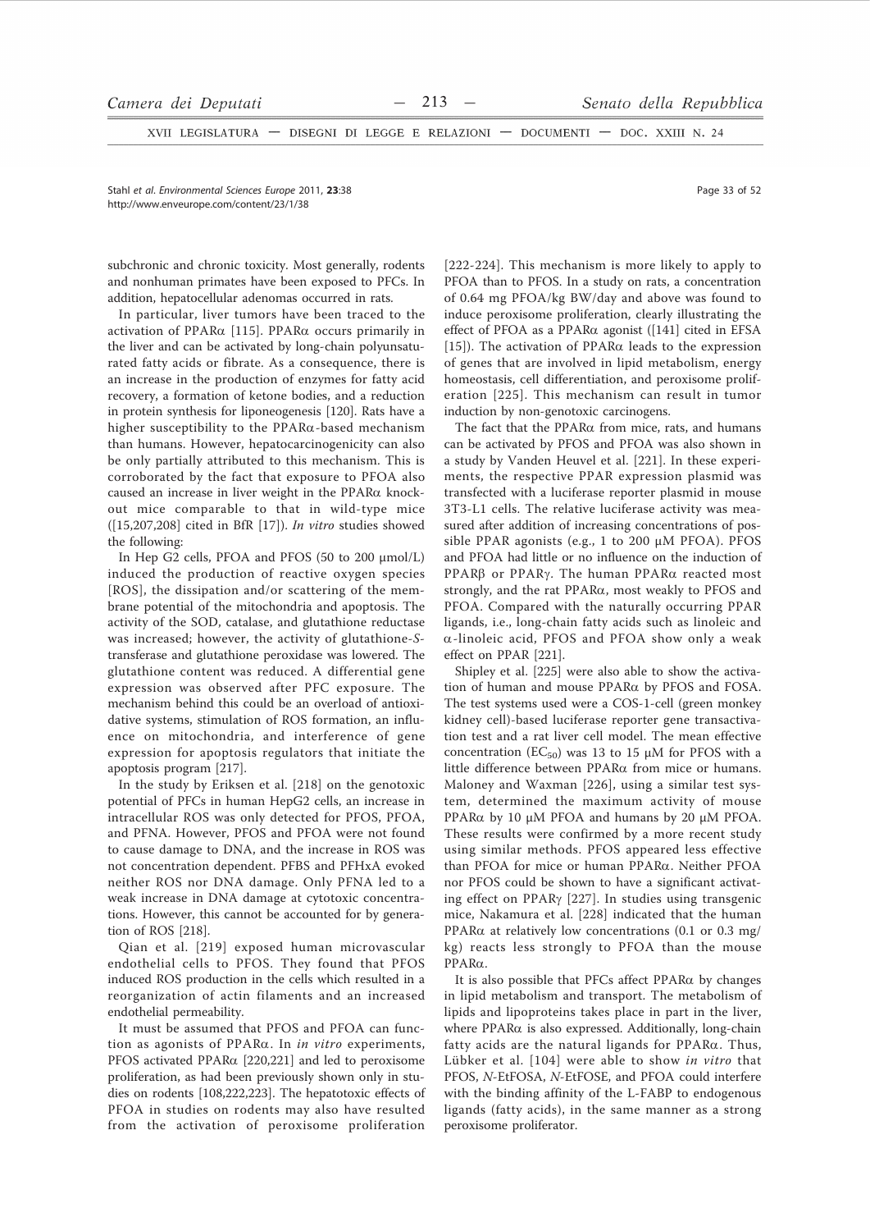XVII LEGISLATURA - DISEGNI DI LEGGE E RELAZIONI - DOCUMENTI - DOC. XXIII N. 24

Stahl et al. Environmental Sciences Europe 2011. 23:38 http://www.enveurope.com/content/23/1/38

subchronic and chronic toxicity. Most generally, rodents and nonhuman primates have been exposed to PFCs. In addition, hepatocellular adenomas occurred in rats.

In particular, liver tumors have been traced to the activation of PPAR $\alpha$  [115]. PPAR $\alpha$  occurs primarily in the liver and can be activated by long-chain polyunsaturated fatty acids or fibrate. As a consequence, there is an increase in the production of enzymes for fatty acid recovery, a formation of ketone bodies, and a reduction in protein synthesis for liponeogenesis [120]. Rats have a higher susceptibility to the  $PPAR\alpha$ -based mechanism than humans. However, hepatocarcinogenicity can also be only partially attributed to this mechanism. This is corroborated by the fact that exposure to PFOA also caused an increase in liver weight in the  $PPAR\alpha$  knockout mice comparable to that in wild-type mice  $( [15,207,208]$  cited in BfR  $[17]$ ). In vitro studies showed the following:

In Hep G2 cells, PFOA and PFOS (50 to 200 µmol/L) induced the production of reactive oxygen species [ROS], the dissipation and/or scattering of the membrane potential of the mitochondria and apoptosis. The activity of the SOD, catalase, and glutathione reductase was increased; however, the activity of glutathione-Stransferase and glutathione peroxidase was lowered. The glutathione content was reduced. A differential gene expression was observed after PFC exposure. The mechanism behind this could be an overload of antioxidative systems, stimulation of ROS formation, an influence on mitochondria, and interference of gene expression for apoptosis regulators that initiate the apoptosis program [217].

In the study by Eriksen et al. [218] on the genotoxic potential of PFCs in human HepG2 cells, an increase in intracellular ROS was only detected for PFOS, PFOA, and PFNA. However, PFOS and PFOA were not found to cause damage to DNA, and the increase in ROS was not concentration dependent. PFBS and PFHxA evoked neither ROS nor DNA damage. Only PFNA led to a weak increase in DNA damage at cytotoxic concentrations. However, this cannot be accounted for by generation of ROS [218].

Qian et al. [219] exposed human microvascular endothelial cells to PFOS. They found that PFOS induced ROS production in the cells which resulted in a reorganization of actin filaments and an increased endothelial permeability.

It must be assumed that PFOS and PFOA can function as agonists of  $PPAR\alpha$ . In *in vitro* experiments, PFOS activated PPARα [220,221] and led to peroxisome proliferation, as had been previously shown only in studies on rodents [108,222,223]. The hepatotoxic effects of PFOA in studies on rodents may also have resulted from the activation of peroxisome proliferation

[222-224]. This mechanism is more likely to apply to PFOA than to PFOS. In a study on rats, a concentration of 0.64 mg PFOA/kg BW/day and above was found to induce peroxisome proliferation, clearly illustrating the effect of PFOA as a PPAR $\alpha$  agonist ([141] cited in EFSA [15]). The activation of PPAR $\alpha$  leads to the expression of genes that are involved in lipid metabolism, energy homeostasis, cell differentiation, and peroxisome proliferation [225]. This mechanism can result in tumor induction by non-genotoxic carcinogens.

The fact that the PPARα from mice, rats, and humans can be activated by PFOS and PFOA was also shown in a study by Vanden Heuvel et al. [221]. In these experiments, the respective PPAR expression plasmid was transfected with a luciferase reporter plasmid in mouse 3T3-L1 cells. The relative luciferase activity was measured after addition of increasing concentrations of possible PPAR agonists (e.g., 1 to 200 µM PFOA). PFOS and PFOA had little or no influence on the induction of PPARβ or PPARγ. The human PPARα reacted most strongly, and the rat PPARa, most weakly to PFOS and PFOA. Compared with the naturally occurring PPAR ligands, i.e., long-chain fatty acids such as linoleic and  $\alpha$ -linoleic acid, PFOS and PFOA show only a weak effect on PPAR [221].

Shipley et al. [225] were also able to show the activation of human and mouse PPARα by PFOS and FOSA. The test systems used were a COS-1-cell (green monkey kidney cell)-based luciferase reporter gene transactivation test and a rat liver cell model. The mean effective concentration ( $EC_{50}$ ) was 13 to 15 µM for PFOS with a little difference between PPARa from mice or humans. Maloney and Waxman [226], using a similar test system, determined the maximum activity of mouse PPAR $\alpha$  by 10  $\mu$ M PFOA and humans by 20  $\mu$ M PFOA. These results were confirmed by a more recent study using similar methods. PFOS appeared less effective than PFOA for mice or human PPARα. Neither PFOA nor PFOS could be shown to have a significant activating effect on PPAR $\gamma$  [227]. In studies using transgenic mice, Nakamura et al. [228] indicated that the human PPAR $\alpha$  at relatively low concentrations (0.1 or 0.3 mg/ kg) reacts less strongly to PFOA than the mouse  $PPAR\alpha$ .

It is also possible that PFCs affect  $PPAR\alpha$  by changes in lipid metabolism and transport. The metabolism of lipids and lipoproteins takes place in part in the liver, where PPARa is also expressed. Additionally, long-chain fatty acids are the natural ligands for  $PPAR\alpha$ . Thus, Lübker et al. [104] were able to show in vitro that PFOS, N-EtFOSA, N-EtFOSE, and PFOA could interfere with the binding affinity of the L-FABP to endogenous ligands (fatty acids), in the same manner as a strong peroxisome proliferator.

Page 33 of 52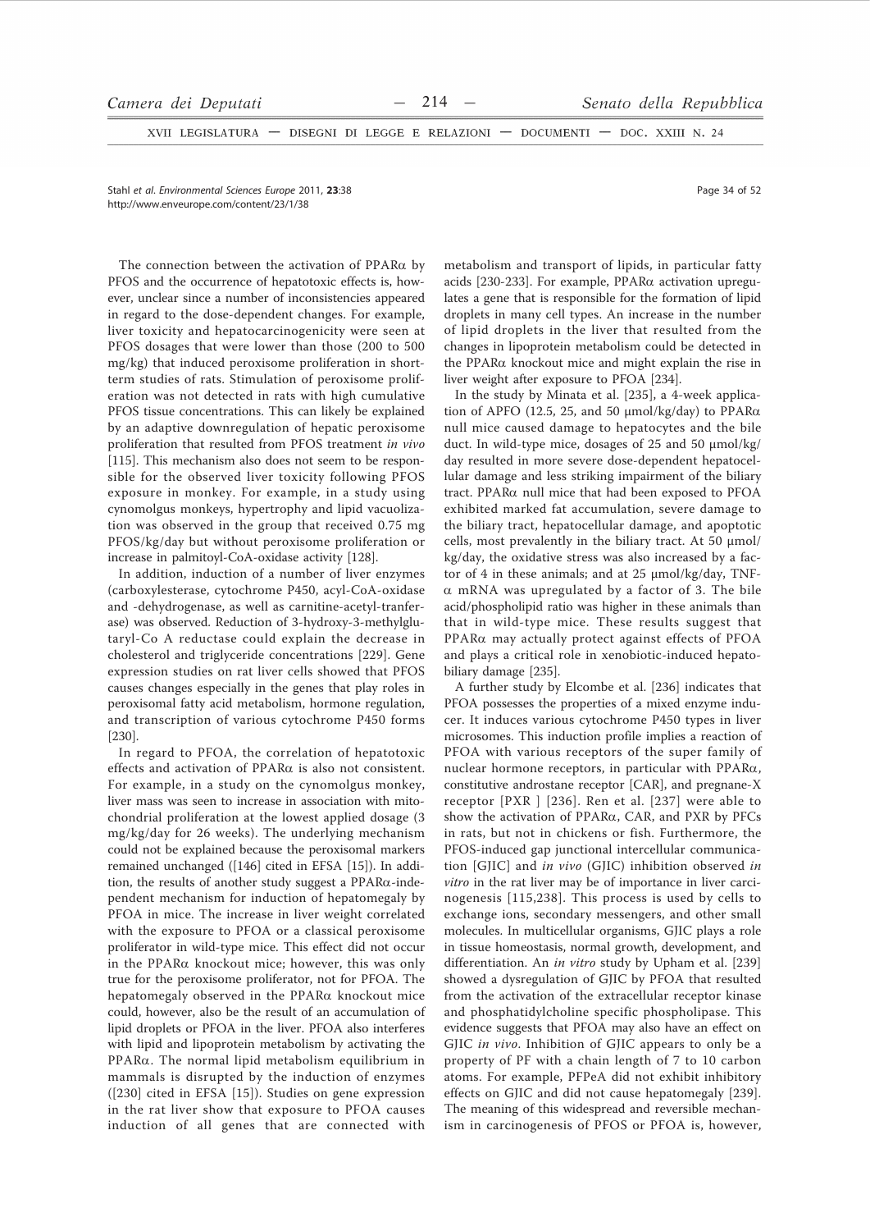XVII LEGISLATURA - DISEGNI DI LEGGE E RELAZIONI - DOCUMENTI - DOC. XXIII N. 24

Stahl et al. Environmental Sciences Europe 2011, 23:38 http://www.enveurope.com/content/23/1/38

The connection between the activation of  $PPAR\alpha$  by PFOS and the occurrence of hepatotoxic effects is, however, unclear since a number of inconsistencies appeared in regard to the dose-dependent changes. For example, liver toxicity and hepatocarcinogenicity were seen at PFOS dosages that were lower than those (200 to 500 mg/kg) that induced peroxisome proliferation in shortterm studies of rats. Stimulation of peroxisome proliferation was not detected in rats with high cumulative PFOS tissue concentrations. This can likely be explained by an adaptive downregulation of hepatic peroxisome proliferation that resulted from PFOS treatment in vivo [115]. This mechanism also does not seem to be responsible for the observed liver toxicity following PFOS exposure in monkey. For example, in a study using cynomolgus monkeys, hypertrophy and lipid vacuolization was observed in the group that received 0.75 mg PFOS/kg/day but without peroxisome proliferation or increase in palmitoyl-CoA-oxidase activity [128].

In addition, induction of a number of liver enzymes (carboxylesterase, cytochrome P450, acyl-CoA-oxidase and -dehydrogenase, as well as carnitine-acetyl-tranferase) was observed. Reduction of 3-hydroxy-3-methylglutaryl-Co A reductase could explain the decrease in cholesterol and triglyceride concentrations [229]. Gene expression studies on rat liver cells showed that PFOS causes changes especially in the genes that play roles in peroxisomal fatty acid metabolism, hormone regulation, and transcription of various cytochrome P450 forms  $[230]$ .

In regard to PFOA, the correlation of hepatotoxic effects and activation of PPARa is also not consistent. For example, in a study on the cynomolgus monkey, liver mass was seen to increase in association with mitochondrial proliferation at the lowest applied dosage (3 mg/kg/day for 26 weeks). The underlying mechanism could not be explained because the peroxisomal markers remained unchanged ([146] cited in EFSA [15]). In addition, the results of another study suggest a PPAR $\alpha$ -independent mechanism for induction of hepatomegaly by PFOA in mice. The increase in liver weight correlated with the exposure to PFOA or a classical peroxisome proliferator in wild-type mice. This effect did not occur in the PPARa knockout mice; however, this was only true for the peroxisome proliferator, not for PFOA. The hepatomegaly observed in the PPAR $\alpha$  knockout mice could, however, also be the result of an accumulation of lipid droplets or PFOA in the liver. PFOA also interferes with lipid and lipoprotein metabolism by activating the PPARa. The normal lipid metabolism equilibrium in mammals is disrupted by the induction of enzymes ([230] cited in EFSA [15]). Studies on gene expression in the rat liver show that exposure to PFOA causes induction of all genes that are connected with

metabolism and transport of lipids, in particular fatty acids [230-233]. For example, PPARα activation upregulates a gene that is responsible for the formation of lipid droplets in many cell types. An increase in the number of lipid droplets in the liver that resulted from the changes in lipoprotein metabolism could be detected in the PPAR $\alpha$  knockout mice and might explain the rise in liver weight after exposure to PFOA [234].

In the study by Minata et al. [235], a 4-week application of APFO (12.5, 25, and 50  $\mu$ mol/kg/day) to PPAR $\alpha$ null mice caused damage to hepatocytes and the bile duct. In wild-type mice, dosages of 25 and 50 µmol/kg/ day resulted in more severe dose-dependent hepatocellular damage and less striking impairment of the biliary tract. PPAR $\alpha$  null mice that had been exposed to PFOA exhibited marked fat accumulation, severe damage to the biliary tract, hepatocellular damage, and apoptotic cells, most prevalently in the biliary tract. At 50 µmol/ kg/day, the oxidative stress was also increased by a factor of 4 in these animals; and at 25  $\mu$ mol/kg/day, TNF- $\alpha$  mRNA was upregulated by a factor of 3. The bile acid/phospholipid ratio was higher in these animals than that in wild-type mice. These results suggest that PPARa may actually protect against effects of PFOA and plays a critical role in xenobiotic-induced hepatobiliary damage [235].

A further study by Elcombe et al. [236] indicates that PFOA possesses the properties of a mixed enzyme inducer. It induces various cytochrome P450 types in liver microsomes. This induction profile implies a reaction of PFOA with various receptors of the super family of nuclear hormone receptors, in particular with PPAR $\alpha$ , constitutive androstane receptor [CAR], and pregnane-X receptor [PXR ] [236]. Ren et al. [237] were able to show the activation of PPARa, CAR, and PXR by PFCs in rats, but not in chickens or fish. Furthermore, the PFOS-induced gap junctional intercellular communication [GIIC] and in vivo (GIIC) inhibition observed in vitro in the rat liver may be of importance in liver carcinogenesis [115,238]. This process is used by cells to exchange ions, secondary messengers, and other small molecules. In multicellular organisms, GJIC plays a role in tissue homeostasis, normal growth, development, and differentiation. An in vitro study by Upham et al. [239] showed a dysregulation of GJIC by PFOA that resulted from the activation of the extracellular receptor kinase and phosphatidylcholine specific phospholipase. This evidence suggests that PFOA may also have an effect on GJIC in vivo. Inhibition of GJIC appears to only be a property of PF with a chain length of 7 to 10 carbon atoms. For example, PFPeA did not exhibit inhibitory effects on GJIC and did not cause hepatomegaly [239]. The meaning of this widespread and reversible mechanism in carcinogenesis of PFOS or PFOA is, however,

Page 34 of 52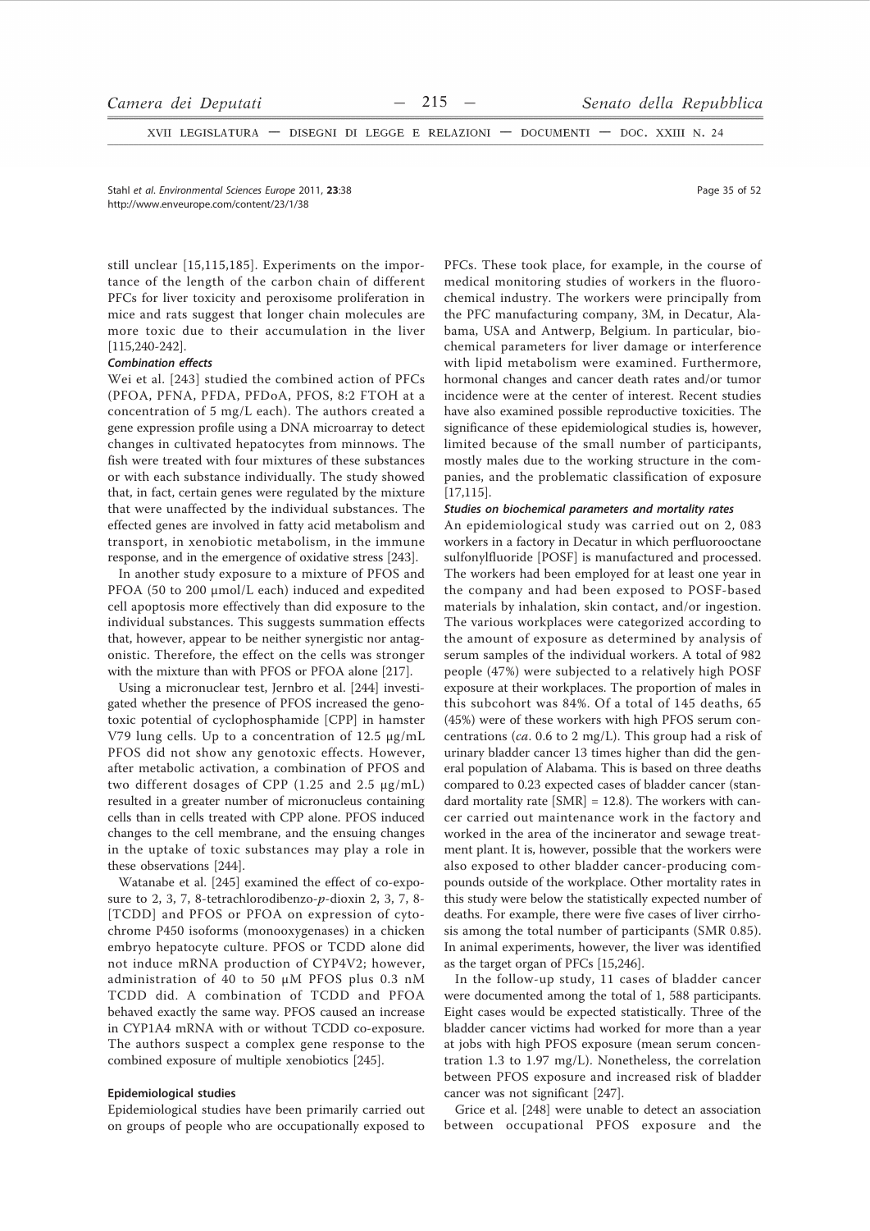XVII LEGISLATURA - DISEGNI DI LEGGE E RELAZIONI - DOCUMENTI - DOC. XXIII N. 24

Stahl et al. Environmental Sciences Europe 2011, 23:38 http://www.enveurope.com/content/23/1/38

still unclear [15,115,185]. Experiments on the importance of the length of the carbon chain of different PFCs for liver toxicity and peroxisome proliferation in mice and rats suggest that longer chain molecules are more toxic due to their accumulation in the liver  $[115, 240 - 242]$ .

# **Combination effects**

Wei et al. [243] studied the combined action of PFCs (PFOA, PFNA, PFDA, PFDoA, PFOS, 8:2 FTOH at a concentration of 5 mg/L each). The authors created a gene expression profile using a DNA microarray to detect changes in cultivated hepatocytes from minnows. The fish were treated with four mixtures of these substances or with each substance individually. The study showed that, in fact, certain genes were regulated by the mixture that were unaffected by the individual substances. The effected genes are involved in fatty acid metabolism and transport, in xenobiotic metabolism, in the immune response, and in the emergence of oxidative stress [243].

In another study exposure to a mixture of PFOS and PFOA (50 to 200 µmol/L each) induced and expedited cell apoptosis more effectively than did exposure to the individual substances. This suggests summation effects that, however, appear to be neither synergistic nor antagonistic. Therefore, the effect on the cells was stronger with the mixture than with PFOS or PFOA alone [217].

Using a micronuclear test, Jernbro et al. [244] investigated whether the presence of PFOS increased the genotoxic potential of cyclophosphamide [CPP] in hamster V79 lung cells. Up to a concentration of 12.5 µg/mL PFOS did not show any genotoxic effects. However, after metabolic activation, a combination of PFOS and two different dosages of CPP (1.25 and 2.5 µg/mL) resulted in a greater number of micronucleus containing cells than in cells treated with CPP alone. PFOS induced changes to the cell membrane, and the ensuing changes in the uptake of toxic substances may play a role in these observations [244].

Watanabe et al. [245] examined the effect of co-exposure to 2, 3, 7, 8-tetrachlorodibenzo-p-dioxin 2, 3, 7, 8-[TCDD] and PFOS or PFOA on expression of cytochrome P450 isoforms (monooxygenases) in a chicken embryo hepatocyte culture. PFOS or TCDD alone did not induce mRNA production of CYP4V2; however, administration of 40 to 50 µM PFOS plus 0.3 nM TCDD did. A combination of TCDD and PFOA behaved exactly the same way. PFOS caused an increase in CYP1A4 mRNA with or without TCDD co-exposure. The authors suspect a complex gene response to the combined exposure of multiple xenobiotics [245].

## Epidemiological studies

Epidemiological studies have been primarily carried out on groups of people who are occupationally exposed to PFCs. These took place, for example, in the course of medical monitoring studies of workers in the fluorochemical industry. The workers were principally from the PFC manufacturing company, 3M, in Decatur, Alabama, USA and Antwerp, Belgium. In particular, biochemical parameters for liver damage or interference with lipid metabolism were examined. Furthermore, hormonal changes and cancer death rates and/or tumor incidence were at the center of interest. Recent studies have also examined possible reproductive toxicities. The significance of these epidemiological studies is, however, limited because of the small number of participants, mostly males due to the working structure in the companies, and the problematic classification of exposure  $[17, 115]$ .

## Studies on biochemical parameters and mortality rates

An epidemiological study was carried out on 2,083 workers in a factory in Decatur in which perfluorooctane sulfonylfluoride [POSF] is manufactured and processed. The workers had been employed for at least one year in the company and had been exposed to POSF-based materials by inhalation, skin contact, and/or ingestion. The various workplaces were categorized according to the amount of exposure as determined by analysis of serum samples of the individual workers. A total of 982 people (47%) were subjected to a relatively high POSF exposure at their workplaces. The proportion of males in this subcohort was 84%. Of a total of 145 deaths, 65 (45%) were of these workers with high PFOS serum concentrations (ca. 0.6 to 2 mg/L). This group had a risk of urinary bladder cancer 13 times higher than did the general population of Alabama. This is based on three deaths compared to 0.23 expected cases of bladder cancer (standard mortality rate  $[SMR] = 12.8$ ). The workers with cancer carried out maintenance work in the factory and worked in the area of the incinerator and sewage treatment plant. It is, however, possible that the workers were also exposed to other bladder cancer-producing compounds outside of the workplace. Other mortality rates in this study were below the statistically expected number of deaths. For example, there were five cases of liver cirrhosis among the total number of participants (SMR 0.85). In animal experiments, however, the liver was identified as the target organ of PFCs [15,246].

In the follow-up study, 11 cases of bladder cancer were documented among the total of 1, 588 participants. Eight cases would be expected statistically. Three of the bladder cancer victims had worked for more than a year at jobs with high PFOS exposure (mean serum concentration 1.3 to 1.97 mg/L). Nonetheless, the correlation between PFOS exposure and increased risk of bladder cancer was not significant [247].

Grice et al. [248] were unable to detect an association between occupational PFOS exposure and the

Page 35 of 52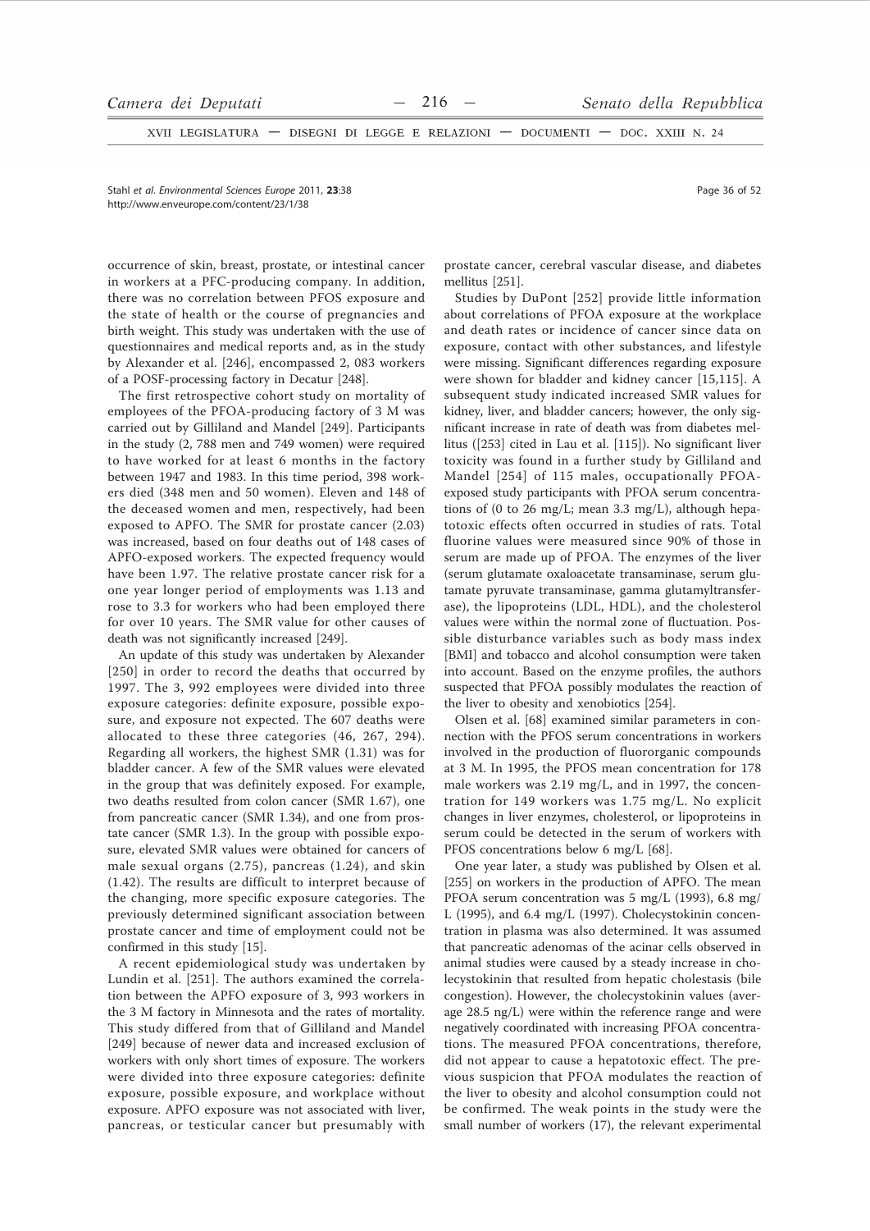XVII LEGISLATURA - DISEGNI DI LEGGE E RELAZIONI - DOCUMENTI - DOC. XXIII N. 24

Stahl et al. Environmental Sciences Europe 2011, 23:38 http://www.enveurope.com/content/23/1/38

occurrence of skin, breast, prostate, or intestinal cancer in workers at a PFC-producing company. In addition, there was no correlation between PFOS exposure and the state of health or the course of pregnancies and birth weight. This study was undertaken with the use of questionnaires and medical reports and, as in the study by Alexander et al. [246], encompassed 2, 083 workers of a POSF-processing factory in Decatur [248].

The first retrospective cohort study on mortality of employees of the PFOA-producing factory of 3 M was carried out by Gilliland and Mandel [249]. Participants in the study (2, 788 men and 749 women) were required to have worked for at least 6 months in the factory between 1947 and 1983. In this time period, 398 workers died (348 men and 50 women). Eleven and 148 of the deceased women and men, respectively, had been exposed to APFO. The SMR for prostate cancer (2.03) was increased, based on four deaths out of 148 cases of APFO-exposed workers. The expected frequency would have been 1.97. The relative prostate cancer risk for a one year longer period of employments was 1.13 and rose to 3.3 for workers who had been employed there for over 10 years. The SMR value for other causes of death was not significantly increased [249].

An update of this study was undertaken by Alexander [250] in order to record the deaths that occurred by 1997. The 3, 992 employees were divided into three exposure categories: definite exposure, possible exposure, and exposure not expected. The 607 deaths were allocated to these three categories (46, 267, 294). Regarding all workers, the highest SMR (1.31) was for bladder cancer. A few of the SMR values were elevated in the group that was definitely exposed. For example, two deaths resulted from colon cancer (SMR 1.67), one from pancreatic cancer (SMR 1.34), and one from prostate cancer (SMR 1.3). In the group with possible exposure, elevated SMR values were obtained for cancers of male sexual organs  $(2.75)$ , pancreas  $(1.24)$ , and skin  $(1.42)$ . The results are difficult to interpret because of the changing, more specific exposure categories. The previously determined significant association between prostate cancer and time of employment could not be confirmed in this study [15].

A recent epidemiological study was undertaken by Lundin et al. [251]. The authors examined the correlation between the APFO exposure of 3, 993 workers in the 3 M factory in Minnesota and the rates of mortality. This study differed from that of Gilliland and Mandel [249] because of newer data and increased exclusion of workers with only short times of exposure. The workers were divided into three exposure categories: definite exposure, possible exposure, and workplace without exposure. APFO exposure was not associated with liver, pancreas, or testicular cancer but presumably with

prostate cancer, cerebral vascular disease, and diabetes mellitus [251].

Studies by DuPont [252] provide little information about correlations of PFOA exposure at the workplace and death rates or incidence of cancer since data on exposure, contact with other substances, and lifestyle were missing. Significant differences regarding exposure were shown for bladder and kidney cancer [15,115]. A subsequent study indicated increased SMR values for kidney, liver, and bladder cancers; however, the only significant increase in rate of death was from diabetes mellitus ([253] cited in Lau et al. [115]). No significant liver toxicity was found in a further study by Gilliland and Mandel [254] of 115 males, occupationally PFOAexposed study participants with PFOA serum concentrations of (0 to 26 mg/L; mean 3.3 mg/L), although hepatotoxic effects often occurred in studies of rats. Total fluorine values were measured since 90% of those in serum are made up of PFOA. The enzymes of the liver (serum glutamate oxaloacetate transaminase, serum glutamate pyruvate transaminase, gamma glutamyltransferase), the lipoproteins (LDL, HDL), and the cholesterol values were within the normal zone of fluctuation. Possible disturbance variables such as body mass index [BMI] and tobacco and alcohol consumption were taken into account. Based on the enzyme profiles, the authors suspected that PFOA possibly modulates the reaction of the liver to obesity and xenobiotics [254].

Olsen et al. [68] examined similar parameters in connection with the PFOS serum concentrations in workers involved in the production of fluororganic compounds at 3 M. In 1995, the PFOS mean concentration for 178 male workers was 2.19 mg/L, and in 1997, the concentration for 149 workers was 1.75 mg/L. No explicit changes in liver enzymes, cholesterol, or lipoproteins in serum could be detected in the serum of workers with PFOS concentrations below 6 mg/L [68].

One year later, a study was published by Olsen et al. [255] on workers in the production of APFO. The mean PFOA serum concentration was 5 mg/L (1993), 6.8 mg/ L (1995), and 6.4 mg/L (1997). Cholecystokinin concentration in plasma was also determined. It was assumed that pancreatic adenomas of the acinar cells observed in animal studies were caused by a steady increase in cholecystokinin that resulted from hepatic cholestasis (bile congestion). However, the cholecystokinin values (average 28.5 ng/L) were within the reference range and were negatively coordinated with increasing PFOA concentrations. The measured PFOA concentrations, therefore, did not appear to cause a hepatotoxic effect. The previous suspicion that PFOA modulates the reaction of the liver to obesity and alcohol consumption could not be confirmed. The weak points in the study were the small number of workers (17), the relevant experimental

Page 36 of 52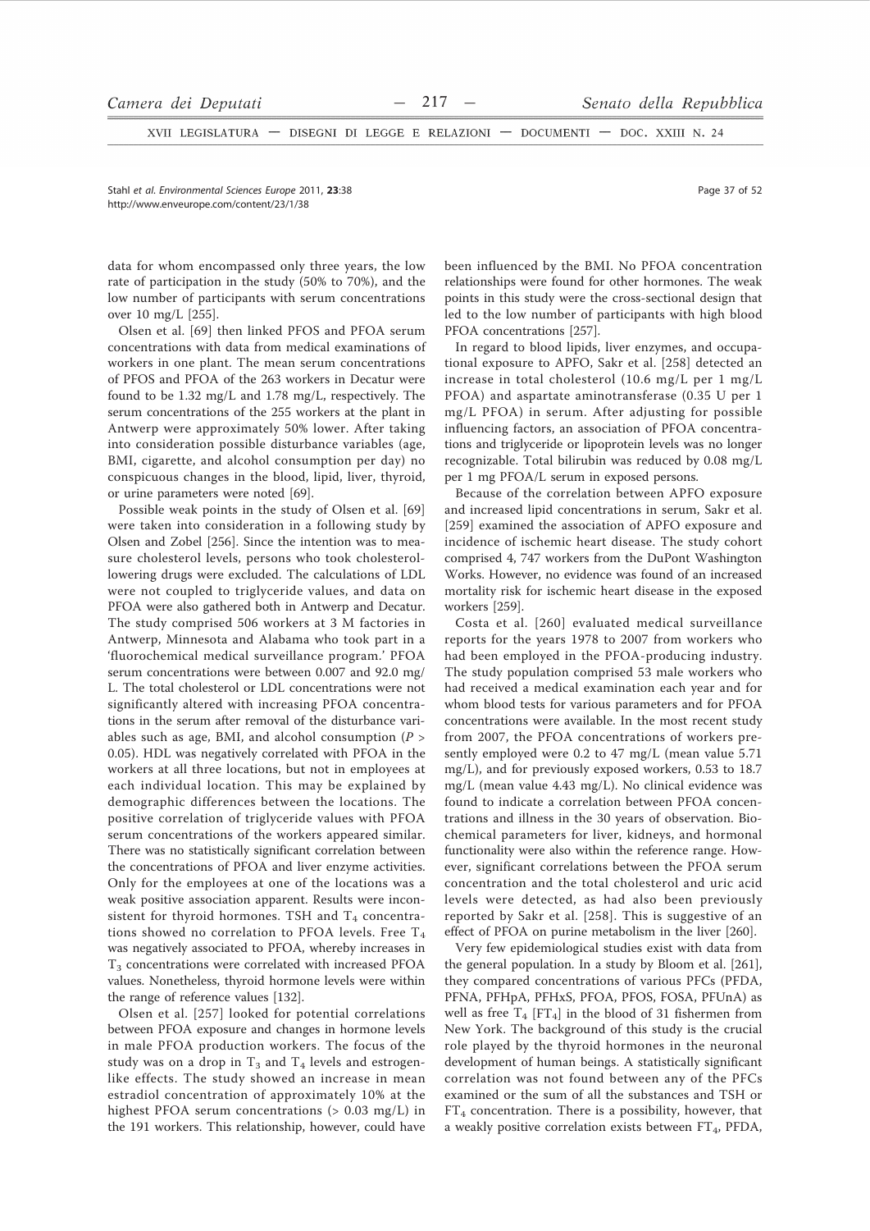XVII LEGISLATURA - DISEGNI DI LEGGE E RELAZIONI - DOCUMENTI - DOC. XXIII N. 24

Stahl et al. Environmental Sciences Europe 2011. 23:38 http://www.enveurope.com/content/23/1/38

data for whom encompassed only three years, the low rate of participation in the study (50% to 70%), and the low number of participants with serum concentrations over 10 mg/L [255].

Olsen et al. [69] then linked PFOS and PFOA serum concentrations with data from medical examinations of workers in one plant. The mean serum concentrations of PFOS and PFOA of the 263 workers in Decatur were found to be 1.32 mg/L and 1.78 mg/L, respectively. The serum concentrations of the 255 workers at the plant in Antwerp were approximately 50% lower. After taking into consideration possible disturbance variables (age, BMI, cigarette, and alcohol consumption per day) no conspicuous changes in the blood, lipid, liver, thyroid, or urine parameters were noted [69].

Possible weak points in the study of Olsen et al. [69] were taken into consideration in a following study by Olsen and Zobel [256]. Since the intention was to measure cholesterol levels, persons who took cholesterollowering drugs were excluded. The calculations of LDL were not coupled to triglyceride values, and data on PFOA were also gathered both in Antwerp and Decatur. The study comprised 506 workers at 3 M factories in Antwerp, Minnesota and Alabama who took part in a 'fluorochemical medical surveillance program.' PFOA serum concentrations were between 0.007 and 92.0 mg/ L. The total cholesterol or LDL concentrations were not significantly altered with increasing PFOA concentrations in the serum after removal of the disturbance variables such as age, BMI, and alcohol consumption  $(P >$ 0.05). HDL was negatively correlated with PFOA in the workers at all three locations, but not in employees at each individual location. This may be explained by demographic differences between the locations. The positive correlation of triglyceride values with PFOA serum concentrations of the workers appeared similar. There was no statistically significant correlation between the concentrations of PFOA and liver enzyme activities. Only for the employees at one of the locations was a weak positive association apparent. Results were inconsistent for thyroid hormones. TSH and T<sub>4</sub> concentrations showed no correlation to PFOA levels. Free  $T_4$ was negatively associated to PFOA, whereby increases in  $T<sub>3</sub>$  concentrations were correlated with increased PFOA values. Nonetheless, thyroid hormone levels were within the range of reference values [132].

Olsen et al. [257] looked for potential correlations between PFOA exposure and changes in hormone levels in male PFOA production workers. The focus of the study was on a drop in  $T_3$  and  $T_4$  levels and estrogenlike effects. The study showed an increase in mean estradiol concentration of approximately 10% at the highest PFOA serum concentrations (> 0.03 mg/L) in the 191 workers. This relationship, however, could have been influenced by the BMI. No PFOA concentration relationships were found for other hormones. The weak points in this study were the cross-sectional design that led to the low number of participants with high blood PFOA concentrations [257].

In regard to blood lipids, liver enzymes, and occupational exposure to APFO, Sakr et al. [258] detected an increase in total cholesterol (10.6 mg/L per 1 mg/L PFOA) and aspartate aminotransferase (0.35 U per 1 mg/L PFOA) in serum. After adjusting for possible influencing factors, an association of PFOA concentrations and triglyceride or lipoprotein levels was no longer recognizable. Total bilirubin was reduced by 0.08 mg/L per 1 mg PFOA/L serum in exposed persons.

Because of the correlation between APFO exposure and increased lipid concentrations in serum, Sakr et al. [259] examined the association of APFO exposure and incidence of ischemic heart disease. The study cohort comprised 4, 747 workers from the DuPont Washington Works. However, no evidence was found of an increased mortality risk for ischemic heart disease in the exposed workers [259].

Costa et al. [260] evaluated medical surveillance reports for the years 1978 to 2007 from workers who had been employed in the PFOA-producing industry. The study population comprised 53 male workers who had received a medical examination each year and for whom blood tests for various parameters and for PFOA concentrations were available. In the most recent study from 2007, the PFOA concentrations of workers presently employed were 0.2 to 47 mg/L (mean value 5.71 mg/L), and for previously exposed workers, 0.53 to 18.7 mg/L (mean value 4.43 mg/L). No clinical evidence was found to indicate a correlation between PFOA concentrations and illness in the 30 years of observation. Biochemical parameters for liver, kidneys, and hormonal functionality were also within the reference range. However, significant correlations between the PFOA serum concentration and the total cholesterol and uric acid levels were detected, as had also been previously reported by Sakr et al. [258]. This is suggestive of an effect of PFOA on purine metabolism in the liver [260].

Very few epidemiological studies exist with data from the general population. In a study by Bloom et al. [261], they compared concentrations of various PFCs (PFDA, PFNA, PFHpA, PFHxS, PFOA, PFOS, FOSA, PFUnA) as well as free  $T_4$  [FT<sub>4</sub>] in the blood of 31 fishermen from New York. The background of this study is the crucial role played by the thyroid hormones in the neuronal development of human beings. A statistically significant correlation was not found between any of the PFCs examined or the sum of all the substances and TSH or  $FT_4$  concentration. There is a possibility, however, that a weakly positive correlation exists between FT<sub>4</sub>, PFDA,

Page 37 of 52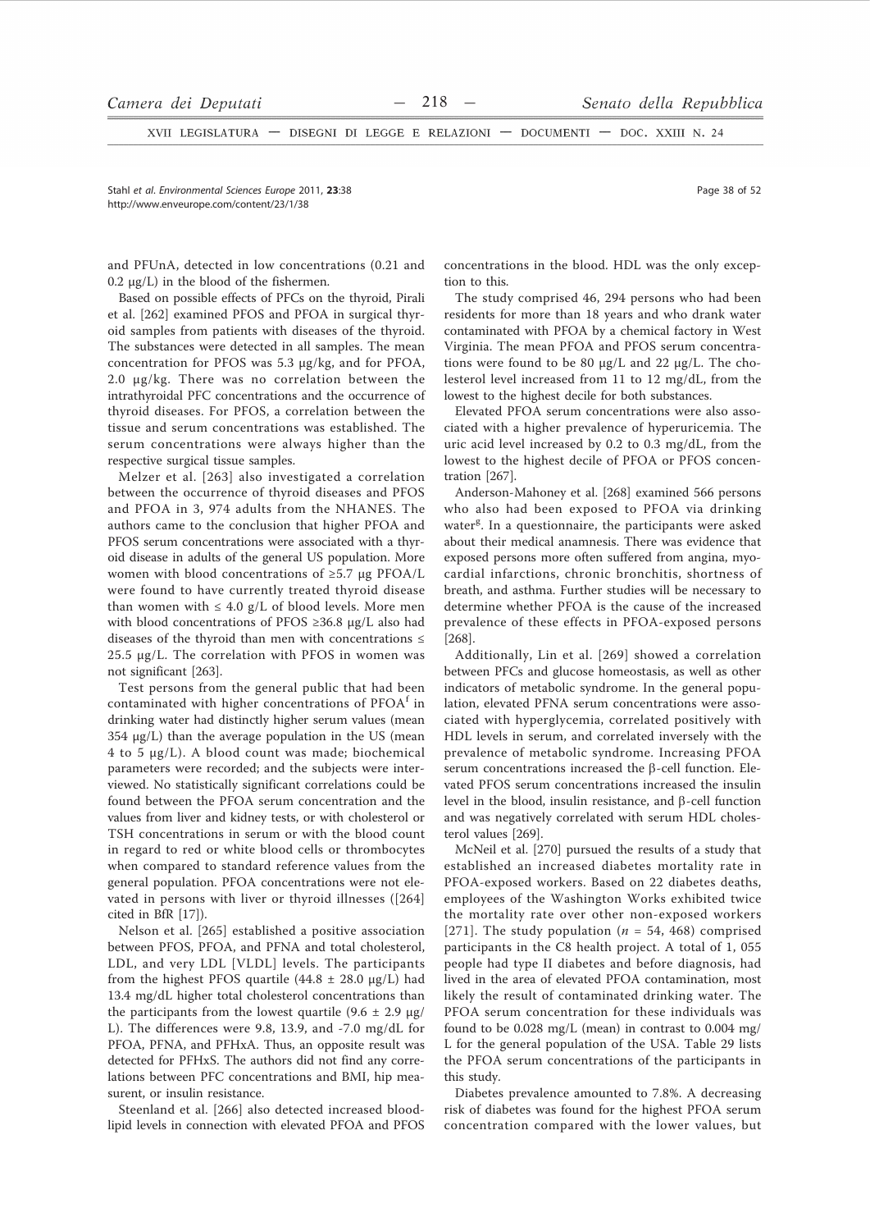XVII LEGISLATURA - DISEGNI DI LEGGE E RELAZIONI - DOCUMENTI - DOC. XXIII N. 24

Stahl et al. Environmental Sciences Europe 2011, 23:38 http://www.enveurope.com/content/23/1/38

and PFUnA, detected in low concentrations (0.21 and  $0.2 \mu g/L$ ) in the blood of the fishermen.

Based on possible effects of PFCs on the thyroid, Pirali et al. [262] examined PFOS and PFOA in surgical thyroid samples from patients with diseases of the thyroid. The substances were detected in all samples. The mean concentration for PFOS was 5.3 µg/kg, and for PFOA, 2.0 µg/kg. There was no correlation between the intrathyroidal PFC concentrations and the occurrence of thyroid diseases. For PFOS, a correlation between the tissue and serum concentrations was established. The serum concentrations were always higher than the respective surgical tissue samples.

Melzer et al. [263] also investigated a correlation between the occurrence of thyroid diseases and PFOS and PFOA in 3, 974 adults from the NHANES. The authors came to the conclusion that higher PFOA and PFOS serum concentrations were associated with a thyroid disease in adults of the general US population. More women with blood concentrations of  $\geq 5.7$  µg PFOA/L were found to have currently treated thyroid disease than women with  $\leq 4.0$  g/L of blood levels. More men with blood concentrations of PFOS  $\geq$ 36.8 µg/L also had diseases of the thyroid than men with concentrations  $\leq$ 25.5 µg/L. The correlation with PFOS in women was not significant [263].

Test persons from the general public that had been contaminated with higher concentrations of PFOA<sup>f</sup> in drinking water had distinctly higher serum values (mean 354  $\mu$ g/L) than the average population in the US (mean 4 to 5 µg/L). A blood count was made; biochemical parameters were recorded; and the subjects were interviewed. No statistically significant correlations could be found between the PFOA serum concentration and the values from liver and kidney tests, or with cholesterol or TSH concentrations in serum or with the blood count in regard to red or white blood cells or thrombocytes when compared to standard reference values from the general population. PFOA concentrations were not elevated in persons with liver or thyroid illnesses ([264] cited in BfR [17]).

Nelson et al. [265] established a positive association between PFOS, PFOA, and PFNA and total cholesterol, LDL, and very LDL [VLDL] levels. The participants from the highest PFOS quartile  $(44.8 \pm 28.0 \text{ µg/L})$  had 13.4 mg/dL higher total cholesterol concentrations than the participants from the lowest quartile  $(9.6 \pm 2.9 \text{ µg})$ L). The differences were 9.8, 13.9, and -7.0 mg/dL for PFOA, PFNA, and PFHxA. Thus, an opposite result was detected for PFHxS. The authors did not find any correlations between PFC concentrations and BMI, hip measurent, or insulin resistance.

Steenland et al. [266] also detected increased bloodlipid levels in connection with elevated PFOA and PFOS concentrations in the blood. HDL was the only exception to this.

The study comprised 46, 294 persons who had been residents for more than 18 years and who drank water contaminated with PFOA by a chemical factory in West Virginia. The mean PFOA and PFOS serum concentrations were found to be 80 µg/L and 22 µg/L. The cholesterol level increased from 11 to 12 mg/dL, from the lowest to the highest decile for both substances.

Elevated PFOA serum concentrations were also associated with a higher prevalence of hyperuricemia. The uric acid level increased by 0.2 to 0.3 mg/dL, from the lowest to the highest decile of PFOA or PFOS concentration [267].

Anderson-Mahoney et al. [268] examined 566 persons who also had been exposed to PFOA via drinking water<sup>g</sup>. In a questionnaire, the participants were asked about their medical anamnesis. There was evidence that exposed persons more often suffered from angina, myocardial infarctions, chronic bronchitis, shortness of breath, and asthma. Further studies will be necessary to determine whether PFOA is the cause of the increased prevalence of these effects in PFOA-exposed persons  $[268]$ .

Additionally, Lin et al. [269] showed a correlation between PFCs and glucose homeostasis, as well as other indicators of metabolic syndrome. In the general population, elevated PFNA serum concentrations were associated with hyperglycemia, correlated positively with HDL levels in serum, and correlated inversely with the prevalence of metabolic syndrome. Increasing PFOA serum concentrations increased the B-cell function. Elevated PFOS serum concentrations increased the insulin level in the blood, insulin resistance, and  $\beta$ -cell function and was negatively correlated with serum HDL cholesterol values [269].

McNeil et al. [270] pursued the results of a study that established an increased diabetes mortality rate in PFOA-exposed workers. Based on 22 diabetes deaths, employees of the Washington Works exhibited twice the mortality rate over other non-exposed workers [271]. The study population ( $n = 54$ , 468) comprised participants in the C8 health project. A total of 1, 055 people had type II diabetes and before diagnosis, had lived in the area of elevated PFOA contamination, most likely the result of contaminated drinking water. The PFOA serum concentration for these individuals was found to be 0.028 mg/L (mean) in contrast to 0.004 mg/ L for the general population of the USA. Table 29 lists the PFOA serum concentrations of the participants in this study.

Diabetes prevalence amounted to 7.8%. A decreasing risk of diabetes was found for the highest PFOA serum concentration compared with the lower values, but

Page 38 of 52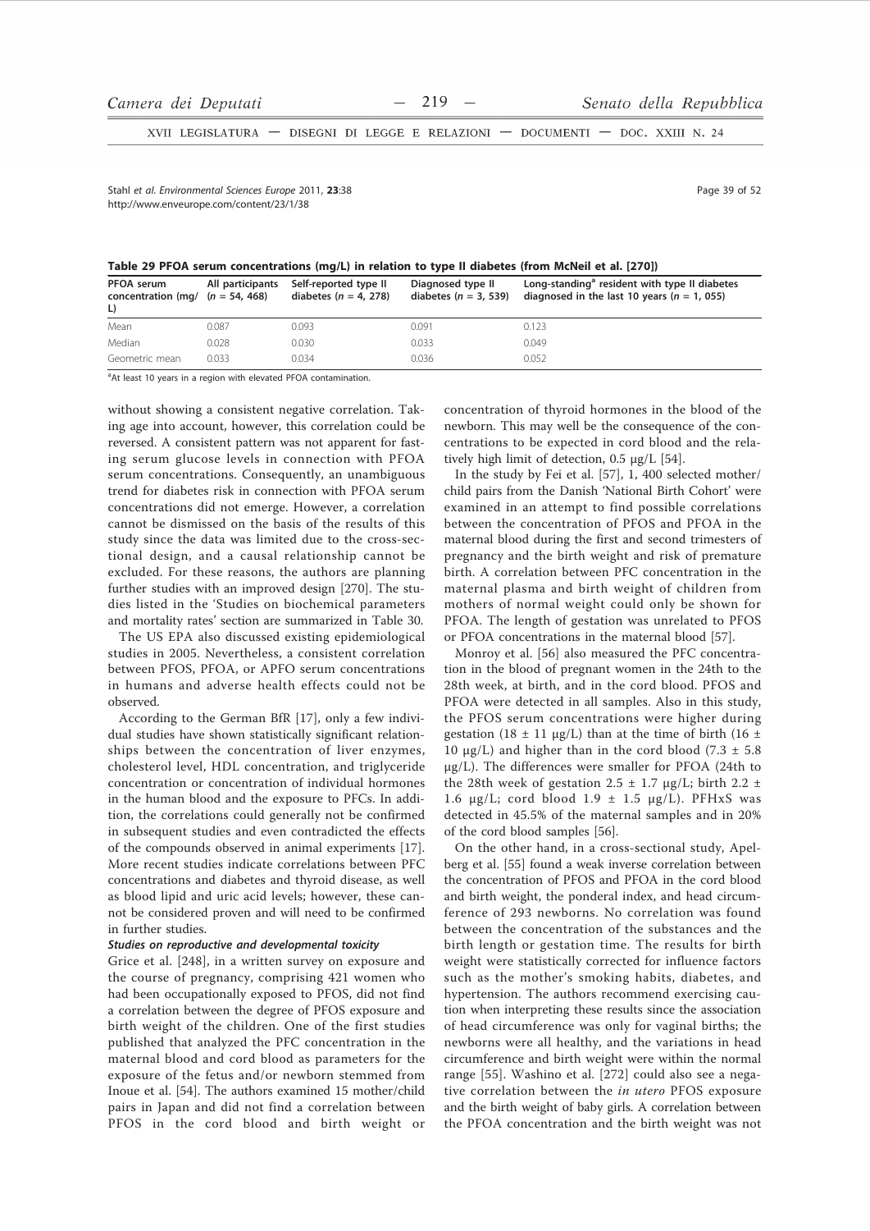XVII LEGISLATURA - DISEGNI DI LEGGE E RELAZIONI - DOCUMENTI - DOC. XXIII N. 24

Stahl et al Environmental Sciences Eurone 2011 23:38 http://www.enveurope.com/content/23/1/38

Page 39 of 52

Table 29 PFOA serum concentrations (mg/L) in relation to type II diabetes (from McNeil et al. [270])

| PFOA serum<br>concentration (mg/ $(n = 54, 468)$ )<br>L) | All participants | Self-reported type II<br>diabetes ( $n = 4$ , 278) | Diagnosed type II<br>diabetes $(n = 3, 539)$ | Long-standing <sup>a</sup> resident with type II diabetes<br>diagnosed in the last 10 years ( $n = 1$ , 055) |
|----------------------------------------------------------|------------------|----------------------------------------------------|----------------------------------------------|--------------------------------------------------------------------------------------------------------------|
| Mean                                                     | 0.087            | 0.093                                              | 0.091                                        | 0.123                                                                                                        |
| Median                                                   | 0.028            | 0.030                                              | 0.033                                        | 0.049                                                                                                        |
| Geometric mean                                           | 0.033            | 0.034                                              | 0.036                                        | 0.052                                                                                                        |

<sup>a</sup>At least 10 years in a region with elevated PFOA contamination.

without showing a consistent negative correlation. Taking age into account, however, this correlation could be reversed. A consistent pattern was not apparent for fasting serum glucose levels in connection with PFOA serum concentrations. Consequently, an unambiguous trend for diabetes risk in connection with PFOA serum concentrations did not emerge. However, a correlation cannot be dismissed on the basis of the results of this study since the data was limited due to the cross-sectional design, and a causal relationship cannot be excluded. For these reasons, the authors are planning further studies with an improved design [270]. The studies listed in the 'Studies on biochemical parameters and mortality rates' section are summarized in Table 30.

The US EPA also discussed existing epidemiological studies in 2005. Nevertheless, a consistent correlation between PFOS, PFOA, or APFO serum concentrations in humans and adverse health effects could not be observed.

According to the German BfR [17], only a few individual studies have shown statistically significant relationships between the concentration of liver enzymes, cholesterol level, HDL concentration, and triglyceride concentration or concentration of individual hormones in the human blood and the exposure to PFCs. In addition, the correlations could generally not be confirmed in subsequent studies and even contradicted the effects of the compounds observed in animal experiments [17]. More recent studies indicate correlations between PFC concentrations and diabetes and thyroid disease, as well as blood lipid and uric acid levels; however, these cannot be considered proven and will need to be confirmed in further studies.

#### Studies on reproductive and developmental toxicity

Grice et al. [248], in a written survey on exposure and the course of pregnancy, comprising 421 women who had been occupationally exposed to PFOS, did not find a correlation between the degree of PFOS exposure and birth weight of the children. One of the first studies published that analyzed the PFC concentration in the maternal blood and cord blood as parameters for the exposure of the fetus and/or newborn stemmed from Inoue et al. [54]. The authors examined 15 mother/child pairs in Japan and did not find a correlation between PFOS in the cord blood and birth weight or concentration of thyroid hormones in the blood of the newborn. This may well be the consequence of the concentrations to be expected in cord blood and the relatively high limit of detection, 0.5 µg/L [54].

In the study by Fei et al. [57], 1, 400 selected mother/ child pairs from the Danish 'National Birth Cohort' were examined in an attempt to find possible correlations between the concentration of PFOS and PFOA in the maternal blood during the first and second trimesters of pregnancy and the birth weight and risk of premature birth. A correlation between PFC concentration in the maternal plasma and birth weight of children from mothers of normal weight could only be shown for PFOA. The length of gestation was unrelated to PFOS or PFOA concentrations in the maternal blood [57].

Monroy et al. [56] also measured the PFC concentration in the blood of pregnant women in the 24th to the 28th week, at birth, and in the cord blood. PFOS and PFOA were detected in all samples. Also in this study, the PFOS serum concentrations were higher during gestation (18  $\pm$  11 µg/L) than at the time of birth (16  $\pm$ 10  $\mu$ g/L) and higher than in the cord blood (7.3  $\pm$  5.8)  $\mu$ g/L). The differences were smaller for PFOA (24th to the 28th week of gestation 2.5  $\pm$  1.7 µg/L; birth 2.2  $\pm$ 1.6  $\mu$ g/L; cord blood 1.9 ± 1.5  $\mu$ g/L). PFHxS was detected in 45.5% of the maternal samples and in 20% of the cord blood samples [56].

On the other hand, in a cross-sectional study, Apelberg et al. [55] found a weak inverse correlation between the concentration of PFOS and PFOA in the cord blood and birth weight, the ponderal index, and head circumference of 293 newborns. No correlation was found between the concentration of the substances and the birth length or gestation time. The results for birth weight were statistically corrected for influence factors such as the mother's smoking habits, diabetes, and hypertension. The authors recommend exercising caution when interpreting these results since the association of head circumference was only for vaginal births; the newborns were all healthy, and the variations in head circumference and birth weight were within the normal range [55]. Washino et al. [272] could also see a negative correlation between the in utero PFOS exposure and the birth weight of baby girls. A correlation between the PFOA concentration and the birth weight was not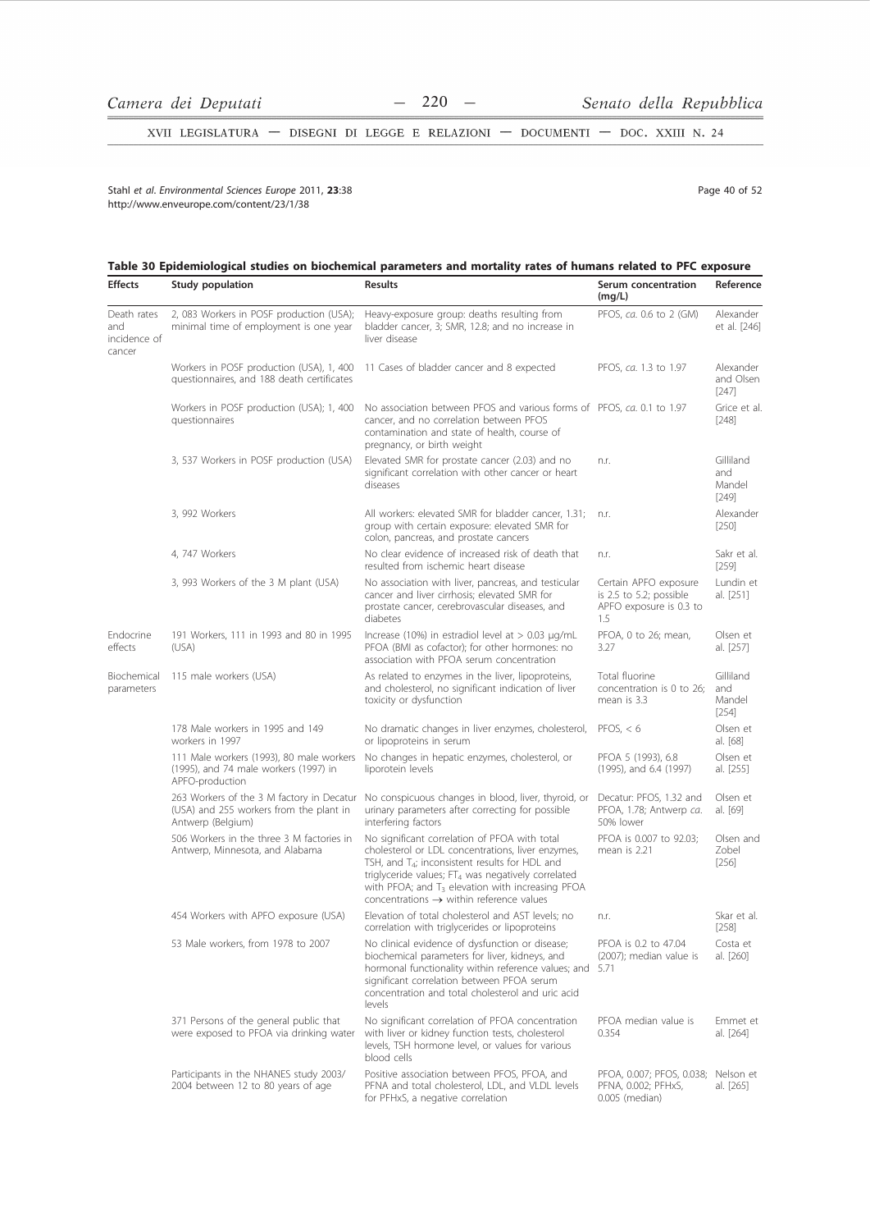$-220 -$ 

XVII LEGISLATURA - DISEGNI DI LEGGE E RELAZIONI - DOCUMENTI - DOC. XXIII N. 24

Stahl et al. Environmental Sciences Europe 2011, 23:38 http://www.enveurope.com/content/23/1/38

Page 40 of 52

# Table 30 Epidemiological studies on biochemical parameters and mortality rates of humans related to PFC exposure

| Effects                                      | Study population                                                                                          | Results                                                                                                                                                                                                                                                                                                                                           | Serum concentration<br>(mg/L)                                                      | Reference                             |
|----------------------------------------------|-----------------------------------------------------------------------------------------------------------|---------------------------------------------------------------------------------------------------------------------------------------------------------------------------------------------------------------------------------------------------------------------------------------------------------------------------------------------------|------------------------------------------------------------------------------------|---------------------------------------|
| Death rates<br>and<br>incidence of<br>cancer | 2, 083 Workers in POSF production (USA);<br>minimal time of employment is one year                        | Heavy-exposure group: deaths resulting from<br>bladder cancer, 3; SMR, 12.8; and no increase in<br>liver disease                                                                                                                                                                                                                                  | PFOS, ca. 0.6 to 2 (GM)                                                            | Alexander<br>et al. [246]             |
|                                              | Workers in POSF production (USA), 1, 400<br>questionnaires, and 188 death certificates                    | 11 Cases of bladder cancer and 8 expected                                                                                                                                                                                                                                                                                                         | PFOS, ca. 1.3 to 1.97                                                              | Alexander<br>and Olsen<br>$[247]$     |
|                                              | Workers in POSF production (USA); 1, 400<br>questionnaires                                                | No association between PFOS and various forms of PFOS, ca. 0.1 to 1.97<br>cancer, and no correlation between PFOS<br>contamination and state of health, course of<br>pregnancy, or birth weight                                                                                                                                                   |                                                                                    | Grice et al.<br>$[248]$               |
|                                              | 3, 537 Workers in POSF production (USA)                                                                   | Elevated SMR for prostate cancer (2.03) and no<br>significant correlation with other cancer or heart<br>diseases                                                                                                                                                                                                                                  | n.r.                                                                               | Gilliland<br>and<br>Mandel<br>$[249]$ |
|                                              | 3, 992 Workers                                                                                            | All workers: elevated SMR for bladder cancer, 1.31;<br>group with certain exposure: elevated SMR for<br>colon, pancreas, and prostate cancers                                                                                                                                                                                                     | n.r.                                                                               | Alexander<br>$[250]$                  |
|                                              | 4, 747 Workers                                                                                            | No clear evidence of increased risk of death that<br>resulted from ischemic heart disease                                                                                                                                                                                                                                                         | n.r.                                                                               | Sakr et al.<br>$[259]$                |
|                                              | 3, 993 Workers of the 3 M plant (USA)                                                                     | No association with liver, pancreas, and testicular<br>cancer and liver cirrhosis; elevated SMR for<br>prostate cancer, cerebrovascular diseases, and<br>diabetes                                                                                                                                                                                 | Certain APFO exposure<br>is 2.5 to 5.2; possible<br>APFO exposure is 0.3 to<br>1.5 | Lundin et<br>al. [251]                |
| Endocrine<br>effects                         | 191 Workers, 111 in 1993 and 80 in 1995<br>(USA)                                                          | Increase (10%) in estradiol level at $> 0.03 \mu q/mL$<br>PFOA (BMI as cofactor); for other hormones: no<br>association with PFOA serum concentration                                                                                                                                                                                             | PFOA, 0 to 26; mean,<br>3.27                                                       | Olsen et<br>al. [257]                 |
| Biochemical<br>parameters                    | 115 male workers (USA)                                                                                    | As related to enzymes in the liver, lipoproteins,<br>and cholesterol, no significant indication of liver<br>toxicity or dysfunction                                                                                                                                                                                                               | Total fluorine<br>concentration is 0 to 26;<br>mean is 3.3                         | Gilliland<br>and<br>Mandel<br>$[254]$ |
|                                              | 178 Male workers in 1995 and 149<br>workers in 1997                                                       | No dramatic changes in liver enzymes, cholesterol,<br>or lipoproteins in serum                                                                                                                                                                                                                                                                    | PFOS, $< 6$                                                                        | Olsen et<br>al. [68]                  |
|                                              | 111 Male workers (1993), 80 male workers<br>(1995), and 74 male workers (1997) in<br>APFO-production      | No changes in hepatic enzymes, cholesterol, or<br>liporotein levels                                                                                                                                                                                                                                                                               | PFOA 5 (1993), 6.8<br>(1995), and 6.4 (1997)                                       | Olsen et<br>al. [255]                 |
|                                              | 263 Workers of the 3 M factory in Decatur<br>(USA) and 255 workers from the plant in<br>Antwerp (Belgium) | No conspicuous changes in blood, liver, thyroid, or<br>urinary parameters after correcting for possible<br>interfering factors                                                                                                                                                                                                                    | Decatur: PFOS, 1.32 and<br>PFOA, 1.78; Antwerp ca.<br>50% lower                    | Olsen et<br>al. [69]                  |
|                                              | 506 Workers in the three 3 M factories in<br>Antwerp, Minnesota, and Alabama                              | No significant correlation of PFOA with total<br>cholesterol or LDL concentrations, liver enzymes,<br>TSH, and T <sub>4</sub> ; inconsistent results for HDL and<br>triglyceride values; FT <sub>4</sub> was negatively correlated<br>with PFOA; and $T_3$ elevation with increasing PFOA<br>concentrations $\rightarrow$ within reference values | PFOA is 0.007 to 92.03;<br>mean is 2.21                                            | Olsen and<br>Zobel<br>[256]           |
|                                              | 454 Workers with APFO exposure (USA)                                                                      | Elevation of total cholesterol and AST levels; no<br>correlation with triglycerides or lipoproteins                                                                                                                                                                                                                                               | n.r.                                                                               | Skar et al.<br>[258]                  |
|                                              | 53 Male workers, from 1978 to 2007                                                                        | No clinical evidence of dysfunction or disease;<br>biochemical parameters for liver, kidneys, and<br>hormonal functionality within reference values; and 5.71<br>significant correlation between PFOA serum<br>concentration and total cholesterol and uric acid<br>levels                                                                        | PFOA is 0.2 to 47.04<br>(2007); median value is                                    | Costa et<br>al. [260]                 |
|                                              | 371 Persons of the general public that<br>were exposed to PFOA via drinking water                         | No significant correlation of PFOA concentration<br>with liver or kidney function tests, cholesterol<br>levels, TSH hormone level, or values for various<br>blood cells                                                                                                                                                                           | PFOA median value is<br>0.354                                                      | Emmet et<br>al. [264]                 |
|                                              | Participants in the NHANES study 2003/<br>2004 between 12 to 80 years of age                              | Positive association between PFOS, PFOA, and<br>PFNA and total cholesterol, LDL, and VLDL levels<br>for PFHxS, a negative correlation                                                                                                                                                                                                             | PFOA, 0.007; PFOS, 0.038;<br>PFNA, 0.002; PFHxS,<br>0.005 (median)                 | Nelson et<br>al. [265]                |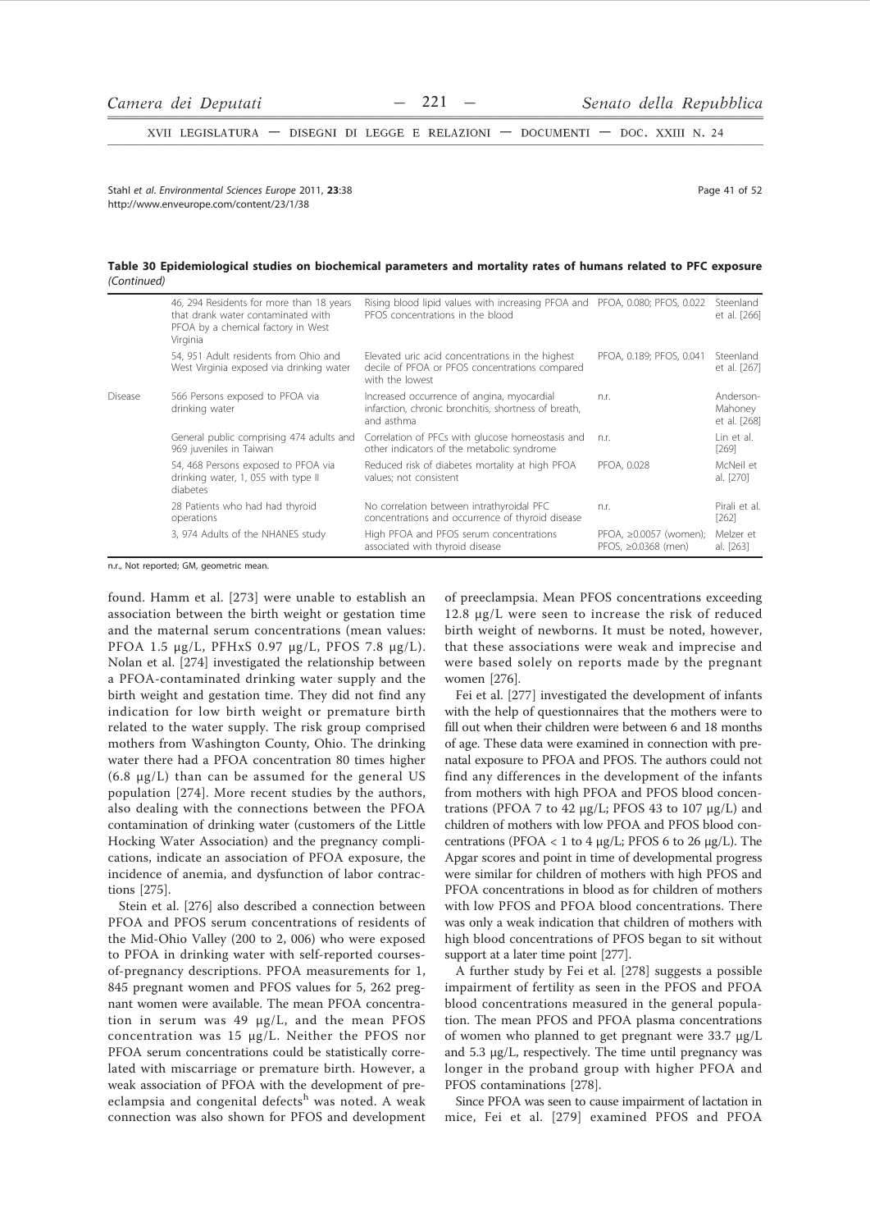XVII LEGISLATURA - DISEGNI DI LEGGE E RELAZIONI - DOCUMENTI - DOC. XXIII N. 24

Stahl et al Environmental Sciences Eurone 2011 23:38 http://www.enveurope.com/content/23/1/38

Page 41 of 52

# Table 30 Epidemiological studies on biochemical parameters and mortality rates of humans related to PFC exposure (Continued)

|         | 46, 294 Residents for more than 18 years<br>that drank water contaminated with<br>PFOA by a chemical factory in West<br>Virginia | Rising blood lipid values with increasing PFOA and PFOA, 0.080; PFOS, 0.022<br>PEOS concentrations in the blood       |                                                     | Steenland<br>et al. [266]            |
|---------|----------------------------------------------------------------------------------------------------------------------------------|-----------------------------------------------------------------------------------------------------------------------|-----------------------------------------------------|--------------------------------------|
|         | 54, 951 Adult residents from Ohio and<br>West Virginia exposed via drinking water                                                | Elevated uric acid concentrations in the highest<br>decile of PFOA or PFOS concentrations compared<br>with the lowest | PFOA, 0.189; PFOS, 0.041                            | Steenland<br>et al. [267]            |
| Disease | 566 Persons exposed to PFOA via<br>drinking water                                                                                | Increased occurrence of angina, myocardial<br>infarction, chronic bronchitis, shortness of breath,<br>and asthma      | n.r.                                                | Anderson-<br>Mahoney<br>et al. [268] |
|         | General public comprising 474 adults and<br>969 juveniles in Taiwan                                                              | Correlation of PFCs with glucose homeostasis and<br>other indicators of the metabolic syndrome                        | n.r.                                                | Lin et al.<br>[269]                  |
|         | 54, 468 Persons exposed to PFOA via<br>drinking water, 1, 055 with type II<br>diabetes                                           | Reduced risk of diabetes mortality at high PFOA<br>values; not consistent                                             | PFOA, 0.028                                         | McNeil et<br>al. [270]               |
|         | 28 Patients who had had thyroid<br>operations                                                                                    | No correlation between intrathyroidal PFC<br>concentrations and occurrence of thyroid disease                         | n.r.                                                | Pirali et al.<br>$[262]$             |
|         | 3, 974 Adults of the NHANES study                                                                                                | High PFOA and PFOS serum concentrations<br>associated with thyroid disease                                            | PFOA, ≥0.0057 (women);<br>PFOS. $\geq 0.0368$ (men) | Melzer et<br>al. [263]               |

n.r., Not reported; GM, geometric mean.

found. Hamm et al. [273] were unable to establish an association between the birth weight or gestation time and the maternal serum concentrations (mean values: PFOA 1.5 μg/L, PFHxS 0.97 μg/L, PFOS 7.8 μg/L). Nolan et al. [274] investigated the relationship between a PFOA-contaminated drinking water supply and the birth weight and gestation time. They did not find any indication for low birth weight or premature birth related to the water supply. The risk group comprised mothers from Washington County, Ohio. The drinking water there had a PFOA concentration 80 times higher  $(6.8 \text{ µg/L})$  than can be assumed for the general US population [274]. More recent studies by the authors, also dealing with the connections between the PFOA contamination of drinking water (customers of the Little Hocking Water Association) and the pregnancy complications, indicate an association of PFOA exposure, the incidence of anemia, and dysfunction of labor contractions [275].

Stein et al. [276] also described a connection between PFOA and PFOS serum concentrations of residents of the Mid-Ohio Valley (200 to 2, 006) who were exposed to PFOA in drinking water with self-reported coursesof-pregnancy descriptions. PFOA measurements for 1, 845 pregnant women and PFOS values for 5, 262 pregnant women were available. The mean PFOA concentration in serum was 49 µg/L, and the mean PFOS concentration was 15 µg/L. Neither the PFOS nor PFOA serum concentrations could be statistically correlated with miscarriage or premature birth. However, a weak association of PFOA with the development of preeclampsia and congenital defects<sup>h</sup> was noted. A weak connection was also shown for PFOS and development

of preeclampsia. Mean PFOS concentrations exceeding 12.8 µg/L were seen to increase the risk of reduced birth weight of newborns. It must be noted, however, that these associations were weak and imprecise and were based solely on reports made by the pregnant women [276].

Fei et al. [277] investigated the development of infants with the help of questionnaires that the mothers were to fill out when their children were between 6 and 18 months of age. These data were examined in connection with prenatal exposure to PFOA and PFOS. The authors could not find any differences in the development of the infants from mothers with high PFOA and PFOS blood concentrations (PFOA 7 to 42  $\mu$ g/L; PFOS 43 to 107  $\mu$ g/L) and children of mothers with low PFOA and PFOS blood concentrations (PFOA < 1 to 4  $\mu$ g/L; PFOS 6 to 26  $\mu$ g/L). The Apgar scores and point in time of developmental progress were similar for children of mothers with high PFOS and PFOA concentrations in blood as for children of mothers with low PFOS and PFOA blood concentrations. There was only a weak indication that children of mothers with high blood concentrations of PFOS began to sit without support at a later time point [277].

A further study by Fei et al. [278] suggests a possible impairment of fertility as seen in the PFOS and PFOA blood concentrations measured in the general population. The mean PFOS and PFOA plasma concentrations of women who planned to get pregnant were 33.7 µg/L and  $5.3 \mu g/L$ , respectively. The time until pregnancy was longer in the proband group with higher PFOA and PFOS contaminations [278].

Since PFOA was seen to cause impairment of lactation in mice, Fei et al. [279] examined PFOS and PFOA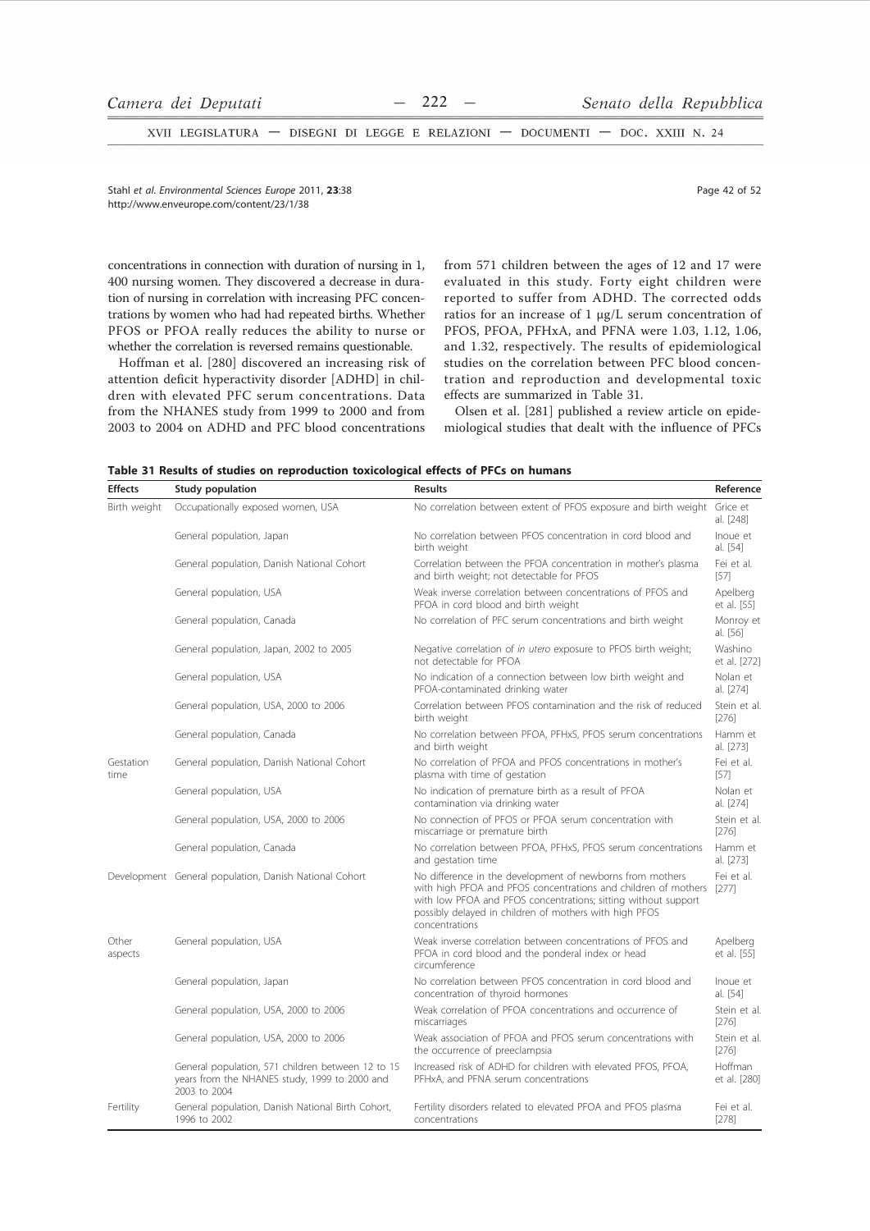XVII LEGISLATURA - DISEGNI DI LEGGE E RELAZIONI - DOCUMENTI - DOC. XXIII N. 24

Stahl et al. Environmental Sciences Europe 2011, 23:38 http://www.enveurope.com/content/23/1/38

concentrations in connection with duration of nursing in 1, 400 nursing women. They discovered a decrease in duration of nursing in correlation with increasing PFC concentrations by women who had had repeated births. Whether PFOS or PFOA really reduces the ability to nurse or whether the correlation is reversed remains questionable.

Hoffman et al. [280] discovered an increasing risk of attention deficit hyperactivity disorder [ADHD] in children with elevated PFC serum concentrations. Data from the NHANES study from 1999 to 2000 and from 2003 to 2004 on ADHD and PFC blood concentrations

from 571 children between the ages of 12 and 17 were evaluated in this study. Forty eight children were reported to suffer from ADHD. The corrected odds ratios for an increase of 1 µg/L serum concentration of PFOS, PFOA, PFHxA, and PFNA were 1.03, 1.12, 1.06, and 1.32, respectively. The results of epidemiological studies on the correlation between PFC blood concentration and reproduction and developmental toxic effects are summarized in Table 31.

Olsen et al. [281] published a review article on epidemiological studies that dealt with the influence of PFCs

| Table 31 Results of studies on reproduction toxicological effects of PFCs on humans |  |
|-------------------------------------------------------------------------------------|--|
|-------------------------------------------------------------------------------------|--|

| <b>Effects</b>    | Study population                                                                                                   | <b>Results</b>                                                                                                                                                                                                                                                                  | Reference               |
|-------------------|--------------------------------------------------------------------------------------------------------------------|---------------------------------------------------------------------------------------------------------------------------------------------------------------------------------------------------------------------------------------------------------------------------------|-------------------------|
| Birth weight      | Occupationally exposed women, USA                                                                                  | No correlation between extent of PFOS exposure and birth weight Grice et                                                                                                                                                                                                        | al. [248]               |
|                   | General population, Japan                                                                                          | No correlation between PFOS concentration in cord blood and<br>birth weight                                                                                                                                                                                                     | Inoue et<br>al. [54]    |
|                   | General population, Danish National Cohort                                                                         | Correlation between the PFOA concentration in mother's plasma<br>and birth weight; not detectable for PFOS                                                                                                                                                                      | Fei et al.<br>$[57]$    |
|                   | General population, USA                                                                                            | Weak inverse correlation between concentrations of PFOS and<br>PFOA in cord blood and birth weight                                                                                                                                                                              | Apelberg<br>et al. [55] |
|                   | General population, Canada                                                                                         | No correlation of PFC serum concentrations and birth weight                                                                                                                                                                                                                     | Monroy et<br>al. [56]   |
|                   | General population, Japan, 2002 to 2005                                                                            | Negative correlation of in utero exposure to PFOS birth weight;<br>not detectable for PFOA                                                                                                                                                                                      | Washino<br>et al. [272] |
|                   | General population, USA                                                                                            | No indication of a connection between low birth weight and<br>PFOA-contaminated drinking water                                                                                                                                                                                  | Nolan et<br>al. [274]   |
|                   | General population, USA, 2000 to 2006                                                                              | Correlation between PFOS contamination and the risk of reduced<br>birth weight                                                                                                                                                                                                  | Stein et al.<br>[276]   |
|                   | General population, Canada                                                                                         | No correlation between PFOA, PFHxS, PFOS serum concentrations<br>and birth weight                                                                                                                                                                                               | Hamm et<br>al. [273]    |
| Gestation<br>time | General population, Danish National Cohort                                                                         | No correlation of PFOA and PFOS concentrations in mother's<br>plasma with time of gestation                                                                                                                                                                                     | Fei et al.<br>$[57]$    |
|                   | General population, USA                                                                                            | No indication of premature birth as a result of PFOA<br>contamination via drinking water                                                                                                                                                                                        | Nolan et<br>al. [274]   |
|                   | General population, USA, 2000 to 2006                                                                              | No connection of PFOS or PFOA serum concentration with<br>miscarriage or premature birth                                                                                                                                                                                        | Stein et al.<br>[276]   |
|                   | General population, Canada                                                                                         | No correlation between PFOA, PFHxS, PFOS serum concentrations<br>and gestation time                                                                                                                                                                                             | Hamm et<br>al. [273]    |
|                   | Development General population, Danish National Cohort                                                             | No difference in the development of newborns from mothers<br>with high PFOA and PFOS concentrations and children of mothers [277]<br>with low PFOA and PFOS concentrations; sitting without support<br>possibly delayed in children of mothers with high PFOS<br>concentrations | Fei et al.              |
| Other<br>aspects  | General population, USA                                                                                            | Weak inverse correlation between concentrations of PFOS and<br>PFOA in cord blood and the ponderal index or head<br>circumference                                                                                                                                               | Apelberg<br>et al. [55] |
|                   | General population, Japan                                                                                          | No correlation between PFOS concentration in cord blood and<br>concentration of thyroid hormones                                                                                                                                                                                | Inoue et<br>al. [54]    |
|                   | General population, USA, 2000 to 2006                                                                              | Weak correlation of PFOA concentrations and occurrence of<br>miscarriages                                                                                                                                                                                                       | Stein et al.<br>[276]   |
|                   | General population, USA, 2000 to 2006                                                                              | Weak association of PFOA and PFOS serum concentrations with<br>the occurrence of preeclampsia                                                                                                                                                                                   | Stein et al.<br>[276]   |
|                   | General population, 571 children between 12 to 15<br>years from the NHANES study, 1999 to 2000 and<br>2003 to 2004 | Increased risk of ADHD for children with elevated PFOS, PFOA,<br>PFHxA, and PFNA serum concentrations                                                                                                                                                                           | Hoffman<br>et al. [280] |
| Fertility         | General population, Danish National Birth Cohort,<br>1996 to 2002                                                  | Fertility disorders related to elevated PFOA and PFOS plasma<br>concentrations                                                                                                                                                                                                  | Fei et al.<br>[278]     |

Page 42 of 52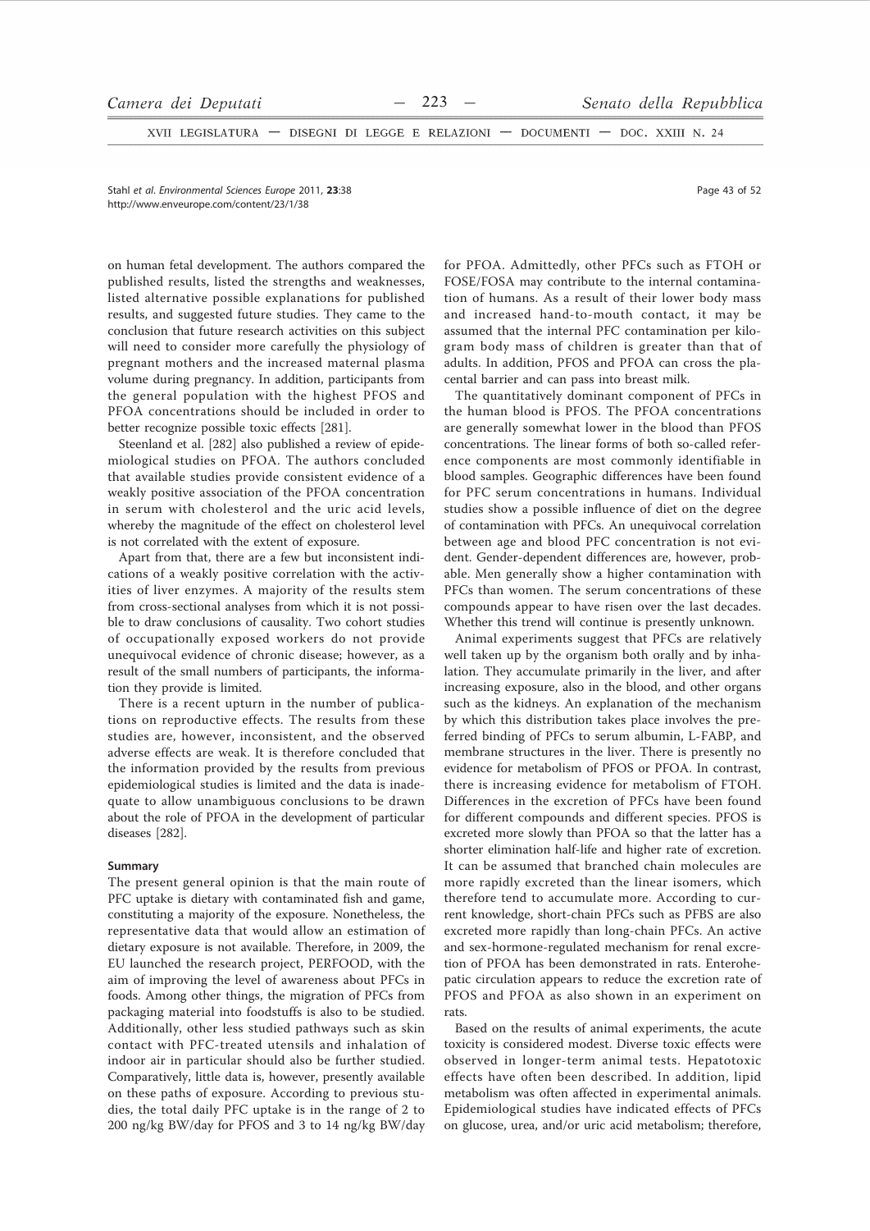XVII LEGISLATURA - DISEGNI DI LEGGE E RELAZIONI - DOCUMENTI - DOC. XXIII N. 24

Stahl et al. Environmental Sciences Europe 2011, 23:38 http://www.enveurope.com/content/23/1/38

on human fetal development. The authors compared the published results, listed the strengths and weaknesses, listed alternative possible explanations for published results, and suggested future studies. They came to the conclusion that future research activities on this subject will need to consider more carefully the physiology of pregnant mothers and the increased maternal plasma volume during pregnancy. In addition, participants from the general population with the highest PFOS and PFOA concentrations should be included in order to better recognize possible toxic effects [281].

Steenland et al. [282] also published a review of epidemiological studies on PFOA. The authors concluded that available studies provide consistent evidence of a weakly positive association of the PFOA concentration in serum with cholesterol and the uric acid levels. whereby the magnitude of the effect on cholesterol level is not correlated with the extent of exposure.

Apart from that, there are a few but inconsistent indications of a weakly positive correlation with the activities of liver enzymes. A majority of the results stem from cross-sectional analyses from which it is not possible to draw conclusions of causality. Two cohort studies of occupationally exposed workers do not provide unequivocal evidence of chronic disease; however, as a result of the small numbers of participants, the information they provide is limited.

There is a recent upturn in the number of publications on reproductive effects. The results from these studies are, however, inconsistent, and the observed adverse effects are weak. It is therefore concluded that the information provided by the results from previous epidemiological studies is limited and the data is inadequate to allow unambiguous conclusions to be drawn about the role of PFOA in the development of particular diseases [282].

# Summary

The present general opinion is that the main route of PFC uptake is dietary with contaminated fish and game, constituting a majority of the exposure. Nonetheless, the representative data that would allow an estimation of dietary exposure is not available. Therefore, in 2009, the EU launched the research project, PERFOOD, with the aim of improving the level of awareness about PFCs in foods. Among other things, the migration of PFCs from packaging material into foodstuffs is also to be studied. Additionally, other less studied pathways such as skin contact with PFC-treated utensils and inhalation of indoor air in particular should also be further studied. Comparatively, little data is, however, presently available on these paths of exposure. According to previous studies, the total daily PFC uptake is in the range of 2 to 200 ng/kg BW/day for PFOS and 3 to 14 ng/kg BW/day

for PFOA. Admittedly, other PFCs such as FTOH or FOSE/FOSA may contribute to the internal contamination of humans. As a result of their lower body mass and increased hand-to-mouth contact, it may be assumed that the internal PFC contamination per kilogram body mass of children is greater than that of adults. In addition, PFOS and PFOA can cross the placental barrier and can pass into breast milk.

The quantitatively dominant component of PFCs in the human blood is PFOS. The PFOA concentrations are generally somewhat lower in the blood than PFOS concentrations. The linear forms of both so-called reference components are most commonly identifiable in blood samples. Geographic differences have been found for PFC serum concentrations in humans. Individual studies show a possible influence of diet on the degree of contamination with PFCs. An unequivocal correlation between age and blood PFC concentration is not evident. Gender-dependent differences are, however, probable. Men generally show a higher contamination with PFCs than women. The serum concentrations of these compounds appear to have risen over the last decades. Whether this trend will continue is presently unknown.

Animal experiments suggest that PFCs are relatively well taken up by the organism both orally and by inhalation. They accumulate primarily in the liver, and after increasing exposure, also in the blood, and other organs such as the kidneys. An explanation of the mechanism by which this distribution takes place involves the preferred binding of PFCs to serum albumin, L-FABP, and membrane structures in the liver. There is presently no evidence for metabolism of PFOS or PFOA. In contrast, there is increasing evidence for metabolism of FTOH. Differences in the excretion of PFCs have been found for different compounds and different species. PFOS is excreted more slowly than PFOA so that the latter has a shorter elimination half-life and higher rate of excretion. It can be assumed that branched chain molecules are more rapidly excreted than the linear isomers, which therefore tend to accumulate more. According to current knowledge, short-chain PFCs such as PFBS are also excreted more rapidly than long-chain PFCs. An active and sex-hormone-regulated mechanism for renal excretion of PFOA has been demonstrated in rats. Enterohepatic circulation appears to reduce the excretion rate of PFOS and PFOA as also shown in an experiment on rats.

Based on the results of animal experiments, the acute toxicity is considered modest. Diverse toxic effects were observed in longer-term animal tests. Hepatotoxic effects have often been described. In addition, lipid metabolism was often affected in experimental animals. Epidemiological studies have indicated effects of PFCs on glucose, urea, and/or uric acid metabolism; therefore,

Page 43 of 52